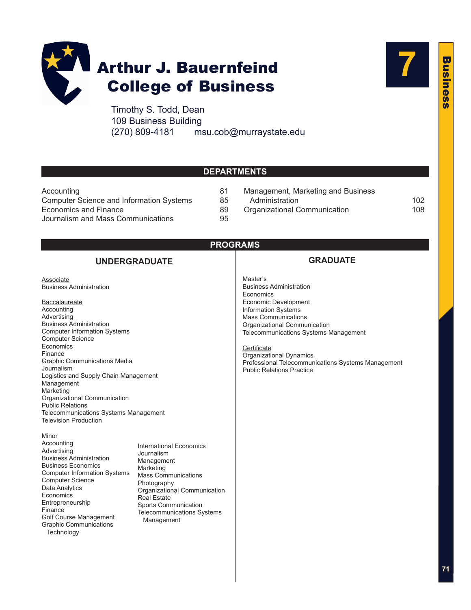

Timothy S. Todd, Dean 109 Business Building (270) 809-4181 [msu.cob@murraystate.edu](mailto:msu.cob@murraystate.edu)

# **7**

Business

usines

ŭń

 $\overline{\mathbf{u}}$ 

**DEPARTMENTS**

| Accounting                                      | 81 |
|-------------------------------------------------|----|
| <b>Computer Science and Information Systems</b> | 85 |
| Economics and Finance                           | 89 |
| Journalism and Mass Communications              | 95 |

- 81 [Management, Marketing and Business](#page-31-0) 85 Administration 35 Administration 35
- 89 [Organizational Communication](#page-37-0) 108
- **PROGRAMS**

### **UNDERGRADUATE**

**Associate** [Business Administration](#page-31-0)

#### **Baccalaureate**

**[Accounting](#page-11-0)** [Advertising](#page-25-0) [Business Administration](#page-32-0) [Computer Information Systems](#page-14-0) [Computer Science](#page-15-0) [Economics](#page-18-0) [Finance](#page-22-0) [Graphic Communications Media](#page-30-0) [Journalism](#page-25-0) [Logistics and Supply Chain Management](#page-36-0) [Management](#page-34-0) [Marketing](#page-35-0) [Organizational Communication](#page-38-0) [Public Relations](#page-26-0) [Telecommunications Systems Management](#page-7-0) [Television Production](#page-27-0)

#### Minor

[Accounting](#page-13-0) [Advertising](#page-28-0) [Business Administration](#page-37-0) [Business Economics](#page-20-0) [Computer Information Systems](#page-16-0) [Computer Science](#page-16-0) [Data Analytics](#page-17-0) **[Economics](#page-20-0)** [Entrepreneurship](#page-37-0) [Finance](#page-24-0) [Golf Course Management](#page-37-0) [Graphic Communications](#page-31-0)  **Technology** 

[International Economics](#page-20-0) [Journalism](#page-28-0) [Management](#page-37-0) [Marketing](#page-37-0) [Mass Communications](#page-28-0) [Photography](#page-31-0) [Organizational Communication](#page-39-0) [Real Estate](#page-37-0) [Sports Communication](#page-39-0) [Telecommunications Systems](#page-8-0) Management

- **GRADUATE**
- Master's [Business Administration](#page-3-0) **[Economics](#page-21-0)** [Economic Development](#page-22-0) [Information Systems](#page-17-0) [Mass Communications](#page-28-0) [Organizational Communication](#page-39-0) [Telecommunications Systems Management](#page-9-0)

**Certificate** [Organizational Dynamics](#page-40-0) [Professional Telecommunications Systems Management](#page-9-0) [Public Relations Practice](#page-29-0)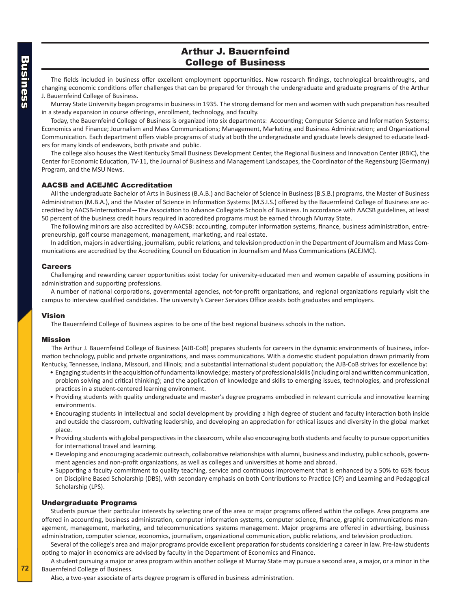### Arthur J. Bauernfeind College of Business

The fields included in business offer excellent employment opportunities. New research findings, technological breakthroughs, and changing economic conditions offer challenges that can be prepared for through the undergraduate and graduate programs of the Arthur J. Bauernfeind College of Business.

Murray State University began programs in business in 1935. The strong demand for men and women with such preparation has resulted in a steady expansion in course offerings, enrollment, technology, and faculty.

Today, the Bauernfeind College of Business is organized into six departments: Accounting; Computer Science and Information Systems; Economics and Finance; Journalism and Mass Communications; Management, Marketing and Business Administration; and Organizational Communication. Each department offers viable programs of study at both the undergraduate and graduate levels designed to educate leaders for many kinds of endeavors, both private and public.

The college also houses the West Kentucky Small Business Development Center, the Regional Business and Innovation Center (RBIC), the Center for Economic Education, TV-11, the Journal of Business and Management Landscapes, the Coordinator of the Regensburg (Germany) Program, and the MSU News.

#### AACSB and ACEJMC Accreditation

All the undergraduate Bachelor of Arts in Business (B.A.B.) and Bachelor of Science in Business (B.S.B.) programs, the Master of Business Administration (M.B.A.), and the Master of Science in Information Systems (M.S.I.S.) offered by the Bauernfeind College of Business are accredited by AACSB-International—The Association to Advance Collegiate Schools of Business. In accordance with AACSB guidelines, at least 50 percent of the business credit hours required in accredited programs must be earned through Murray State.

The following minors are also accredited by AACSB: accounting, computer information systems, finance, business administration, entrepreneurship, golf course management, management, marketing, and real estate.

In addition, majors in advertising, journalism, public relations, and television production in the Department of Journalism and Mass Communications are accredited by the Accrediting Council on Education in Journalism and Mass Communications (ACEJMC).

#### Careers

Challenging and rewarding career opportunities exist today for university-educated men and women capable of assuming positions in administration and supporting professions.

A number of national corporations, governmental agencies, not-for-profit organizations, and regional organizations regularly visit the campus to interview qualified candidates. The university's Career Services Office assists both graduates and employers.

#### Vision

The Bauernfeind College of Business aspires to be one of the best regional business schools in the nation.

#### Mission

The Arthur J. Bauernfeind College of Business (AJB-CoB) prepares students for careers in the dynamic environments of business, information technology, public and private organizations, and mass communications. With a domestic student population drawn primarily from Kentucky, Tennessee, Indiana, Missouri, and Illinois; and a substantial international student population; the AJB-CoB strives for excellence by:

- Engaging students in the acquisition of fundamental knowledge; mastery of professional skills (including oral and written communication, problem solving and critical thinking); and the application of knowledge and skills to emerging issues, technologies, and professional practices in a student-centered learning environment.
- Providing students with quality undergraduate and master's degree programs embodied in relevant curricula and innovative learning environments.
- Encouraging students in intellectual and social development by providing a high degree of student and faculty interaction both inside and outside the classroom, cultivating leadership, and developing an appreciation for ethical issues and diversity in the global market place.
- Providing students with global perspectives in the classroom, while also encouraging both students and faculty to pursue opportunities for international travel and learning.
- Developing and encouraging academic outreach, collaborative relationships with alumni, business and industry, public schools, government agencies and non-profit organizations, as well as colleges and universities at home and abroad.
- Supporting a faculty commitment to quality teaching, service and continuous improvement that is enhanced by a 50% to 65% focus on Discipline Based Scholarship (DBS), with secondary emphasis on both Contributions to Practice (CP) and Learning and Pedagogical Scholarship (LPS).

#### Undergraduate Programs

Students pursue their particular interests by selecting one of the area or major programs offered within the college. Area programs are offered in accounting, business administration, computer information systems, computer science, finance, graphic communications management, management, marketing, and telecommunications systems management. Major programs are offered in advertising, business administration, computer science, economics, journalism, organizational communication, public relations, and television production.

Several of the college's area and major programs provide excellent preparation for students considering a career in law. Pre-law students opting to major in economics are advised by faculty in the Department of Economics and Finance.

A student pursuing a major or area program within another college at Murray State may pursue a second area, a major, or a minor in the Bauernfeind College of Business.

Also, a two-year associate of arts degree program is offered in business administration.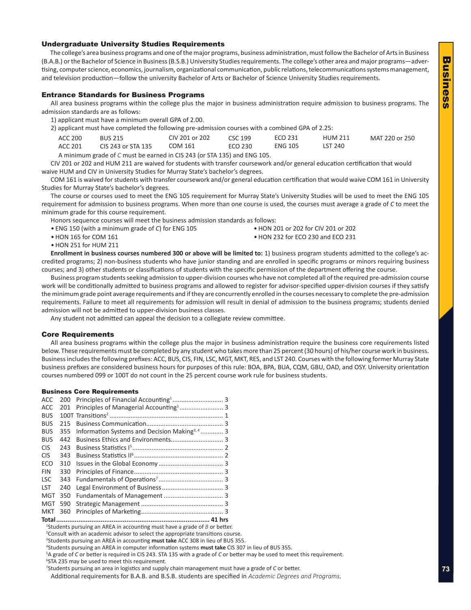# $\overline{\mathbf{u}}$ Business usiness

#### Undergraduate University Studies Requirements

The college's area business programs and one of the major programs, business administration, must follow the Bachelor of Arts in Business (B.A.B.) or the Bachelor of Science in Business (B.S.B.) University Studies requirements. The college's other area and major programs—advertising, computer science, economics, journalism, organizational communication, public relations, telecommunications systems management, and television production—follow the university Bachelor of Arts or Bachelor of Science University Studies requirements.

#### Entrance Standards for Business Programs

All area business programs within the college plus the major in business administration require admission to business programs. The admission standards are as follows:

1) applicant must have a minimum overall GPA of 2.00.

2) applicant must have completed the following pre-admission courses with a combined GPA of 2.25:

| ACC 200 | BUS 215                                                                  | CIV 201 or 202 | CSC 199 | ECO 231        | <b>HUM 211</b> | MAT 220 or 250 |
|---------|--------------------------------------------------------------------------|----------------|---------|----------------|----------------|----------------|
| ACC 201 | CIS 243 or STA 135                                                       | COM 161        | ECO 230 | <b>ENG 105</b> | LST 240        |                |
|         | A minimum grade of C must be earned in CIS 243 (or STA 135) and ENG 105. |                |         |                |                |                |

CIV 201 or 202 and HUM 211 are waived for students with transfer coursework and/or general education certification that would waive HUM and CIV in University Studies for Murray State's bachelor's degrees.

COM 161 is waived for students with transfer coursework and/or general education certification that would waive COM 161 in University Studies for Murray State's bachelor's degrees.

The course or courses used to meet the ENG 105 requirement for Murray State's University Studies will be used to meet the ENG 105 requirement for admission to business programs. When more than one course is used, the courses must average a grade of *C* to meet the minimum grade for this course requirement.

Honors sequence courses will meet the business admission standards as follows:

• ENG 150 (with a minimum grade of *C*) for ENG 105 • HON 201 or 202 for CIV 201 or 202

• HON 165 for COM 161 • HON 232 for ECO 230 and ECO 231

• HON 251 for HUM 211

**Enrollment in business courses numbered 300 or above will be limited to:** 1) business program students admitted to the college's accredited programs; 2) non-business students who have junior standing and are enrolled in specific programs or minors requiring business courses; and 3) other students or classifications of students with the specific permission of the department offering the course.

Business program students seeking admission to upper-division courses who have not completed all of the required pre-admission course work will be conditionally admitted to business programs and allowed to register for advisor-specified upper-division courses if they satisfy the minimum grade point average requirements and if they are concurrently enrolled in the courses necessary to complete the pre-admission requirements. Failure to meet all requirements for admission will result in denial of admission to the business programs; students denied admission will not be admitted to upper-division business classes.

Any student not admitted can appeal the decision to a collegiate review committee.

#### Core Requirements

All area business programs within the college plus the major in business administration require the business core requirements listed below. These requirements must be completed by any student who takes more than 25 percent (30 hours) of his/her course work in business. Business includes the following prefixes: ACC, BUS, CIS, FIN, LSC, MGT, MKT, RES, and LST 240. Courses with the following former Murray State business prefixes are considered business hours for purposes of this rule: BOA, BPA, BUA, CQM, GBU, OAD, and OSY. University orientation courses numbered 099 or 100T do not count in the 25 percent course work rule for business students.

#### Business Core Requirements

| MKT        | 360 |                                                           |  |
|------------|-----|-----------------------------------------------------------|--|
| MGT        | 590 |                                                           |  |
| MGT        | 350 |                                                           |  |
| LST        | 240 |                                                           |  |
| <b>LSC</b> | 343 |                                                           |  |
| <b>FIN</b> | 330 |                                                           |  |
| ECO        | 310 |                                                           |  |
| <b>CIS</b> | 343 |                                                           |  |
| <b>CIS</b> | 243 |                                                           |  |
| <b>BUS</b> | 442 |                                                           |  |
| <b>BUS</b> | 355 | Information Systems and Decision Making <sup>3, 4</sup> 3 |  |
| <b>BUS</b> | 215 |                                                           |  |
| <b>BUS</b> |     |                                                           |  |
| <b>ACC</b> | 201 |                                                           |  |
| <b>ACC</b> |     |                                                           |  |

**Total................................................................................... 41 hrs**

1 Students pursuing an AREA in accounting must have a grade of *B* or better.

<sup>2</sup> Consult with an academic advisor to select the appropriate transitions course.

<sup>3</sup>Students pursuing an AREA in accounting **must take** ACC 308 in lieu of BUS 355.<br><sup>4</sup>Students pursuing an AREA in computer information systems **must take** CIS 307.

Students pursuing an AREA in computer information systems **must take** CIS 307 in lieu of BUS 355.

5 A grade of *C* or better is required in CIS 243. STA 135 with a grade of *C* or better may be used to meet this requirement.

Additional requirements for B.A.B. and B.S.B. students are specified in *Academic Degrees and Programs*.

<sup>6</sup> STA 235 may be used to meet this requirement.

<sup>7</sup> Students pursuing an area in logistics and supply chain management must have a grade of *C* or better.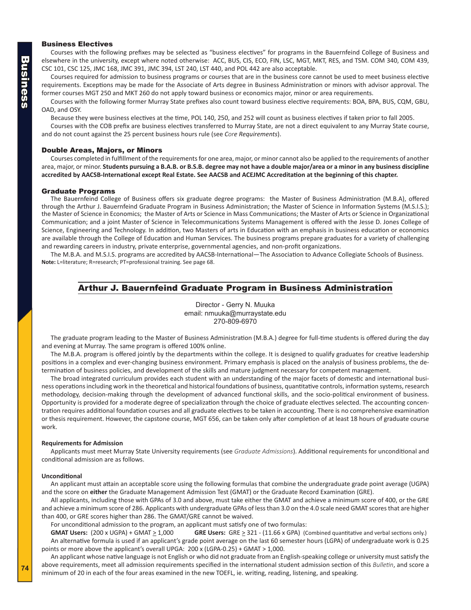#### <span id="page-3-0"></span>Business Electives

Courses with the following prefixes may be selected as "business electives" for programs in the Bauernfeind College of Business and elsewhere in the university, except where noted otherwise: ACC, BUS, CIS, ECO, FIN, LSC, MGT, MKT, RES, and TSM. COM 340, COM 439, CSC 101, CSC 125, JMC 168, JMC 391, JMC 394, LST 240, LST 440, and POL 442 are also acceptable.

Courses required for admission to business programs or courses that are in the business core cannot be used to meet business elective requirements. Exceptions may be made for the Associate of Arts degree in Business Administration or minors with advisor approval. The former courses MGT 250 and MKT 260 do not apply toward business or economics major, minor or area requirements.

Courses with the following former Murray State prefixes also count toward business elective requirements: BOA, BPA, BUS, CQM, GBU, OAD, and OSY.

Because they were business electives at the time, POL 140, 250, and 252 will count as business electives if taken prior to fall 2005.

Courses with the COB prefix are business electives transferred to Murray State, are not a direct equivalent to any Murray State course, and do not count against the 25 percent business hours rule (see *Core Requirements*).

#### Double Areas, Majors, or Minors

Courses completed in fulfillment of the requirements for one area, major, or minor cannot also be applied to the requirements of another area, major, or minor. **Students pursuing a B.A.B. or B.S.B. degree may not have a double major/area or a minor in any business discipline accredited by AACSB-International except Real Estate. See AACSB and ACEJMC Accreditation at the beginning of this chapter.**

#### Graduate Programs

The Bauernfeind College of Business offers six graduate degree programs: the Master of Business Administration (M.B.A), offered through the Arthur J. Bauernfeind Graduate Program in Business Administration; the Master of Science in Information Systems (M.S.I.S.); the Master of Science in Economics; the Master of Arts or Science in Mass Communications; the Master of Arts or Science in Organizational Communication; and a joint Master of Science in Telecommunications Systems Management is offered with the Jesse D. Jones College of Science, Engineering and Technology. In addition, two Masters of arts in Education with an emphasis in business education or economics are available through the College of Education and Human Services. The business programs prepare graduates for a variety of challenging and rewarding careers in industry, private enterprise, governmental agencies, and non-profit organizations.

The M.B.A. and M.S.I.S. programs are accredited by AACSB-International—The Association to Advance Collegiate Schools of Business. **Note:** L=literature; R=research; PT=professional training. See page 68.

#### Arthur J. Bauernfeind Graduate Program in Business Administration

Director - Gerry N. Muuka email: nmuuka@murraystate.edu 270-809-6970

The graduate program leading to the Master of Business Administration (M.B.A.) degree for full-time students is offered during the day and evening at Murray. The same program is offered 100% online.

The M.B.A. program is offered jointly by the departments within the college. It is designed to qualify graduates for creative leadership positions in a complex and ever-changing business environment. Primary emphasis is placed on the analysis of business problems, the determination of business policies, and development of the skills and mature judgment necessary for competent management.

The broad integrated curriculum provides each student with an understanding of the major facets of domestic and international business operations including work in the theoretical and historical foundations of business, quantitative controls, information systems, research methodology, decision-making through the development of advanced functional skills, and the socio-political environment of business. Opportunity is provided for a moderate degree of specialization through the choice of graduate electives selected. The accounting concentration requires additional foundation courses and all graduate electives to be taken in accounting. There is no comprehensive examination or thesis requirement. However, the capstone course, MGT 656, can be taken only after completion of at least 18 hours of graduate course work.

#### **Requirements for Admission**

Applicants must meet Murray State University requirements (see *Graduate Admissions*). Additional requirements for unconditional and conditional admission are as follows.

#### **Unconditional**

An applicant must attain an acceptable score using the following formulas that combine the undergraduate grade point average (UGPA) and the score on **either** the Graduate Management Admission Test (GMAT) or the Graduate Record Examination (GRE).

All applicants, including those with GPAs of 3.0 and above, must take either the GMAT and achieve a minimum score of 400, or the GRE and achieve a minimum score of 286. Applicants with undergraduate GPAs of less than 3.0 on the 4.0 scale need GMAT scores that are higher than 400, or GRE scores higher than 286. The GMAT/GRE cannot be waived.

For unconditional admission to the program, an applicant must satisfy one of two formulas:

GMAT Users: (200 x UGPA) + GMAT > 1,000 **GRE Users:** GRE > 321 - (11.66 x GPA) (Combined quantitative and verbal sections only.) An alternative formula is used if an applicant's grade point average on the last 60 semester hours (LGPA) of undergraduate work is 0.25 points or more above the applicant's overall UPGA: 200 x (LGPA-0.25) + GMAT > 1,000.

An applicant whose native language is not English or who did not graduate from an English-speaking college or university must satisfy the above requirements, meet all admission requirements specified in the international student admission section of this *Bulletin*, and score a minimum of 20 in each of the four areas examined in the new TOEFL, ie. writing, reading, listening, and speaking.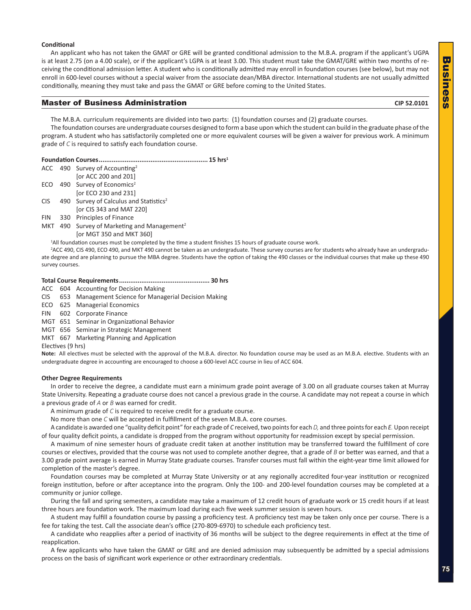### $\overline{\mathbf{u}}$ Business asine n ŭń

#### **Conditional**

An applicant who has not taken the GMAT or GRE will be granted conditional admission to the M.B.A. program if the applicant's UGPA is at least 2.75 (on a 4.00 scale), or if the applicant's LGPA is at least 3.00. This student must take the GMAT/GRE within two months of receiving the conditional admission letter. A student who is conditionally admitted may enroll in foundation courses (see below), but may not enroll in 600-level courses without a special waiver from the associate dean/MBA director. International students are not usually admitted conditionally, meaning they must take and pass the GMAT or GRE before coming to the United States.

#### **Master of Business Administration CIP 52.0101** CIP 52.0101

The M.B.A. curriculum requirements are divided into two parts: (1) foundation courses and (2) graduate courses.

The foundation courses are undergraduate courses designed to form a base upon which the student can build in the graduate phase of the program. A student who has satisfactorily completed one or more equivalent courses will be given a waiver for previous work. A minimum grade of *C* is required to satisfy each foundation course.

|--|--|--|--|

|       | $ACC$ 490 Survey of Accounting <sup>2</sup>        |
|-------|----------------------------------------------------|
|       | [or ACC 200 and 201]                               |
|       | ECO 490 Survey of Economics <sup>2</sup>           |
|       | for ECO 230 and 2311                               |
| CIS - | 490 Survey of Calculus and Statistics <sup>2</sup> |
|       | [or CIS 343 and MAT 220]                           |

- FIN 330 Principles of Finance
- MKT 490 Survey of Marketing and Management<sup>2</sup> [or MGT 350 and MKT 360]

1 All foundation courses must be completed by the time a student finishes 15 hours of graduate course work.

2 ACC 490, CIS 490, ECO 490, and MKT 490 cannot be taken as an undergraduate. These survey courses are for students who already have an undergraduate degree and are planning to pursue the MBA degree. Students have the option of taking the 490 classes or the individual courses that make up these 490 survey courses.

#### **Total Course Requirements................................................. 30 hrs**

ACC 604 Accounting for Decision Making

- CIS 653 Management Science for Managerial Decision Making
- ECO 625 Managerial Economics

FIN 602 Corporate Finance

MGT 651 Seminar in Organizational Behavior

MGT 656 Seminar in Strategic Management

MKT 667 Marketing Planning and Application

Electives (9 hrs)

**Note:** All electives must be selected with the approval of the M.B.A. director. No foundation course may be used as an M.B.A. elective. Students with an undergraduate degree in accounting are encouraged to choose a 600-level ACC course in lieu of ACC 604.

#### **Other Degree Requirements**

In order to receive the degree, a candidate must earn a minimum grade point average of 3.00 on all graduate courses taken at Murray State University. Repeating a graduate course does not cancel a previous grade in the course. A candidate may not repeat a course in which a previous grade of *A* or *B* was earned for credit.

A minimum grade of *C* is required to receive credit for a graduate course.

No more than one *C* will be accepted in fulfillment of the seven M.B.A. core courses.

A candidate is awarded one "quality deficit point" for each grade of *C* received, two points for each *D,* and three points for each *E.* Upon receipt of four quality deficit points, a candidate is dropped from the program without opportunity for readmission except by special permission.

A maximum of nine semester hours of graduate credit taken at another institution may be transferred toward the fulfillment of core courses or electives, provided that the course was not used to complete another degree, that a grade of *B* or better was earned, and that a 3.00 grade point average is earned in Murray State graduate courses. Transfer courses must fall within the eight-year time limit allowed for completion of the master's degree.

Foundation courses may be completed at Murray State University or at any regionally accredited four-year institution or recognized foreign institution, before or after acceptance into the program. Only the 100- and 200-level foundation courses may be completed at a community or junior college.

During the fall and spring semesters, a candidate may take a maximum of 12 credit hours of graduate work or 15 credit hours if at least three hours are foundation work. The maximum load during each five week summer session is seven hours.

A student may fulfill a foundation course by passing a proficiency test. A proficiency test may be taken only once per course. There is a fee for taking the test. Call the associate dean's office (270-809-6970) to schedule each proficiency test.

A candidate who reapplies after a period of inactivity of 36 months will be subject to the degree requirements in effect at the time of reapplication.

A few applicants who have taken the GMAT or GRE and are denied admission may subsequently be admitted by a special admissions process on the basis of significant work experience or other extraordinary credentials.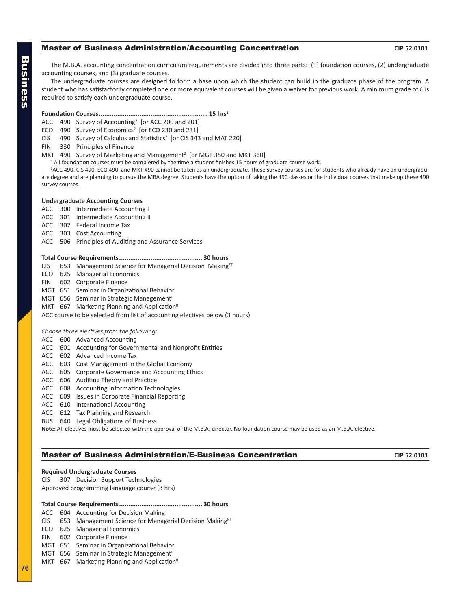### **Master of Business Administration/Accounting Concentration**  CIP 52.0101

The M.B.A. accounting concentration curriculum requirements are divided into three parts: (1) foundation courses, (2) undergraduate accounting courses, and (3) graduate courses.

The undergraduate courses are designed to form a base upon which the student can build in the graduate phase of the program. A student who has satisfactorily completed one or more equivalent courses will be given a waiver for previous work. A minimum grade of *C* is required to satisfy each undergraduate course.

**Foundation Courses........................................................... 15 hrs1**

 $ACC$  490 Survey of Accounting<sup>2</sup> [or ACC 200 and 201]

ECO 490 Survey of Economics<sup>2</sup> [or ECO 230 and 231]

CIS 490 Survey of Calculus and Statistics<sup>2</sup> [or CIS 343 and MAT 220]

FIN 330 Principles of Finance

MKT 490 Survey of Marketing and Management<sup>2</sup> [or MGT 350 and MKT 360]

<sup>1</sup> All foundation courses must be completed by the time a student finishes 15 hours of graduate course work.

2 ACC 490, CIS 490, ECO 490, and MKT 490 cannot be taken as an undergraduate. These survey courses are for students who already have an undergraduate degree and are planning to pursue the MBA degree. Students have the option of taking the 490 classes or the individual courses that make up these 490 survey courses.

#### **Undergraduate Accounting Courses**

- ACC 300 Intermediate Accounting I
- ACC 301 Intermediate Accounting II
- ACC 302 Federal Income Tax
- ACC 303 Cost Accounting
- ACC 506 Principles of Auditing and Assurance Services

#### **Total Course Requirements............................................. 30 hours**

- CIS 653 Management Science for Managerial Decision Making $PT$
- ECO 625 Managerial Economics
- FIN 602 Corporate Finance
- MGT 651 Seminar in Organizational Behavior
- MGT 656 Seminar in Strategic Management<sup>L</sup>
- MKT  $667$  Marketing Planning and Application<sup>R</sup>

ACC course to be selected from list of accounting electives below (3 hours)

#### *Choose three electives from the following:*

#### ACC 600 Advanced Accounting

- ACC 601 Accounting for Governmental and Nonprofit Entities
- ACC 602 Advanced Income Tax
- ACC 603 Cost Management in the Global Economy
- ACC 605 Corporate Governance and Accounting Ethics
- ACC 606 Auditing Theory and Practice
- ACC 608 Accounting Information Technologies
- ACC 609 Issues in Corporate Financial Reporting
- ACC 610 International Accounting
- ACC 612 Tax Planning and Research
- BUS 640 Legal Obligations of Business

**Note:** All electives must be selected with the approval of the M.B.A. director. No foundation course may be used as an M.B.A. elective.

#### **Master of Business Administration/E-Business Concentration**  CIP 52.0101

#### **Required Undergraduate Courses**

CIS 307 Decision Support Technologies Approved programming language course (3 hrs)

#### **Total Course Requirements............................................. 30 hours**

- ACC 604 Accounting for Decision Making
- CIS 653 Management Science for Managerial Decision Making $P<sup>T</sup>$
- ECO 625 Managerial Economics
- FIN 602 Corporate Finance
- MGT 651 Seminar in Organizational Behavior
- MGT 656 Seminar in Strategic Management<sup>L</sup>
- MKT  $667$  Marketing Planning and Application<sup>R</sup>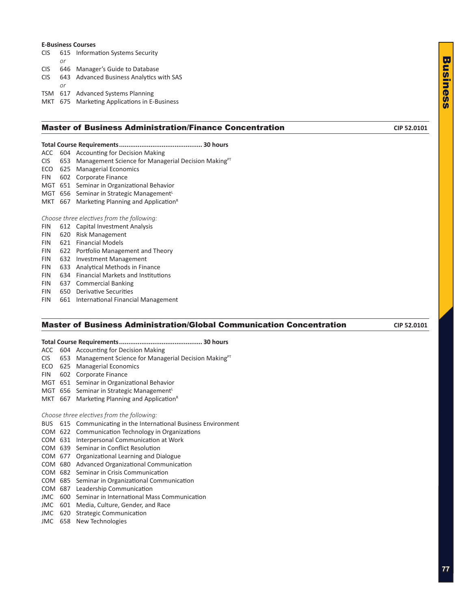#### **E-Business Courses**

- CIS 615 Information Systems Security *or* CIS 646 Manager's Guide to Database CIS 643 Advanced Business Analytics with SAS
- *or* TSM 617 Advanced Systems Planning

MKT 675 Marketing Applications in E-Business

#### **Master of Business Administration/Finance Concentration CIP 52.0101** CIP 52.0101

#### **Total Course Requirements............................................. 30 hours**

- ACC 604 Accounting for Decision Making
- CIS 653 Management Science for Managerial Decision Making<sup>PT</sup>
- ECO 625 Managerial Economics
- FIN 602 Corporate Finance
- MGT 651 Seminar in Organizational Behavior
- MGT 656 Seminar in Strategic Management<sup>L</sup>
- MKT 667 Marketing Planning and Application<sup>R</sup>

#### *Choose three electives from the following:*

- FIN 612 Capital Investment Analysis
- FIN 620 Risk Management
- FIN 621 Financial Models
- FIN 622 Portfolio Management and Theory
- FIN 632 Investment Management
- FIN 633 Analytical Methods in Finance
- FIN 634 Financial Markets and Institutions
- FIN 637 Commercial Banking
- FIN 650 Derivative Securities
- FIN 661 International Financial Management

#### Master of Business Administration/Global Communication Concentration **CIP 52.0101**

- **Total Course Requirements............................................. 30 hours**
- ACC 604 Accounting for Decision Making
- CIS 653 Management Science for Managerial Decision Making<sup>PT</sup>
- ECO 625 Managerial Economics
- FIN 602 Corporate Finance
- MGT 651 Seminar in Organizational Behavior
- MGT  $656$  Seminar in Strategic Management<sup>L</sup>
- MKT 667 Marketing Planning and Application<sup>R</sup>

#### *Choose three electives from the following:*

- BUS 615 Communicating in the International Business Environment
- COM 622 Communication Technology in Organizations
- COM 631 Interpersonal Communication at Work
- COM 639 Seminar in Conflict Resolution
- COM 677 Organizational Learning and Dialogue
- COM 680 Advanced Organizational Communication
- COM 682 Seminar in Crisis Communication
- COM 685 Seminar in Organizational Communication
- COM 687 Leadership Communication
- JMC 600 Seminar in International Mass Communication
- JMC 601 Media, Culture, Gender, and Race
- JMC 620 Strategic Communication
- JMC 658 New Technologies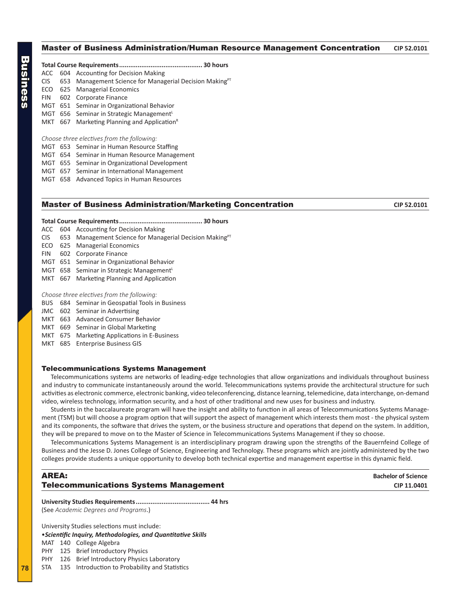#### <span id="page-7-0"></span>Master of Business Administration/Human Resource Management Concentration **CIP 52.0101**

|  | ACC 604 Accounting for Decision Making                           |
|--|------------------------------------------------------------------|
|  | $CIS$ 653 Management Science for Managerial Decision Making $PT$ |
|  | ECO 625 Managerial Economics                                     |
|  | FIN 602 Corporate Finance                                        |
|  | MGT 651 Seminar in Organizational Behavior                       |
|  | MGT 656 Seminar in Strategic Management <sup>L</sup>             |
|  | MKT 667 Marketing Planning and Application <sup>R</sup>          |
|  |                                                                  |

#### *Choose three electives from the following:*

- MGT 653 Seminar in Human Resource Staffing
- MGT 654 Seminar in Human Resource Management
- MGT 655 Seminar in Organizational Development
- MGT 657 Seminar in International Management
- MGT 658 Advanced Topics in Human Resources

#### **Master of Business Administration/Marketing Concentration CIP 52.0101** CIP 52.0101

#### **Total Course Requirements............................................. 30 hours**

- ACC 604 Accounting for Decision Making
- CIS 653 Management Science for Managerial Decision Making<sup>PT</sup>
- ECO 625 Managerial Economics
- FIN 602 Corporate Finance
- MGT 651 Seminar in Organizational Behavior
- MGT 658 Seminar in Strategic Management<sup>L</sup>
- MKT 667 Marketing Planning and Application

#### *Choose three electives from the following:*

- BUS 684 Seminar in Geospatial Tools in Business
- JMC 602 Seminar in Advertising
- MKT 663 Advanced Consumer Behavior
- MKT 669 Seminar in Global Marketing
- MKT 675 Marketing Applications in E-Business
- MKT 685 Enterprise Business GIS

#### Telecommunications Systems Management

Telecommunications systems are networks of leading-edge technologies that allow organizations and individuals throughout business and industry to communicate instantaneously around the world. Telecommunications systems provide the architectural structure for such activities as electronic commerce, electronic banking, video teleconferencing, distance learning, telemedicine, data interchange, on-demand video, wireless technology, information security, and a host of other traditional and new uses for business and industry.

Students in the baccalaureate program will have the insight and ability to function in all areas of Telecommunications Systems Management (TSM) but will choose a program option that will support the aspect of management which interests them most - the physical system and its components, the software that drives the system, or the business structure and operations that depend on the system. In addition, they will be prepared to move on to the Master of Science in Telecommunications Systems Management if they so choose.

Telecommunications Systems Management is an interdisciplinary program drawing upon the strengths of the Bauernfeind College of Business and the Jesse D. Jones College of Science, Engineering and Technology. These programs which are jointly administered by the two colleges provide students a unique opportunity to develop both technical expertise and management expertise in this dynamic field.

| AREA:                                        | <b>Bachelor of Science</b> |
|----------------------------------------------|----------------------------|
| <b>Telecommunications Systems Management</b> | CIP 11.0401                |

**University Studies Requirements........................................ 44 hrs** (See *Academic Degrees and Programs*.)

University Studies selections must include: •*Scientific Inquiry, Methodologies, and Quantitative Skills*

- MAT 140 College Algebra
- PHY 125 Brief Introductory Physics
- PHY 126 Brief Introductory Physics Laboratory
- STA 135 Introduction to Probability and Statistics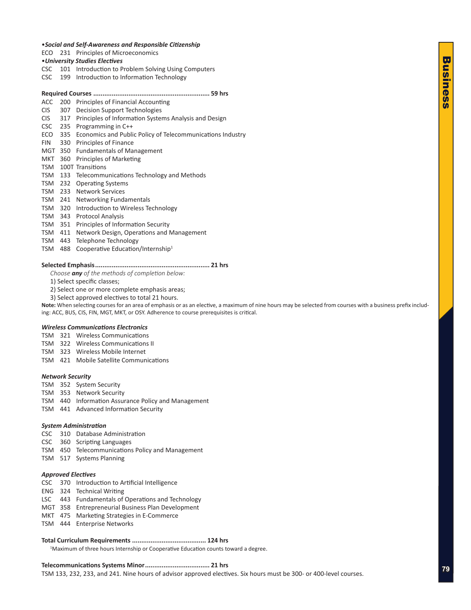#### <span id="page-8-0"></span>•*Social and Self-Awareness and Responsible Citizenship*

ECO 231 Principles of Microeconomics

#### •*University Studies Electives*

- CSC 101 Introduction to Problem Solving Using Computers
- CSC 199 Introduction to Information Technology

#### **Required Courses ............................................................... 59 hrs**

- ACC 200 Principles of Financial Accounting
- CIS 307 Decision Support Technologies

#### CIS 317 Principles of Information Systems Analysis and Design

- CSC 235 Programming in C++
- ECO 335 Economics and Public Policy of Telecommunications Industry
- FIN 330 Principles of Finance
- MGT 350 Fundamentals of Management
- MKT 360 Principles of Marketing
- TSM 100T Transitions
- TSM 133 Telecommunications Technology and Methods
- TSM 232 Operating Systems
- TSM 233 Network Services
- TSM 241 Networking Fundamentals
- TSM 320 Introduction to Wireless Technology
- TSM 343 Protocol Analysis
- TSM 351 Principles of Information Security
- TSM 411 Network Design, Operations and Management
- TSM 443 Telephone Technology
- TSM 488 Cooperative Education/Internship<sup>1</sup>

#### **Selected Emphasis.............................................................. 21 hrs**

*Choose any of the methods of completion below:*

- 1) Select specific classes;
- 2) Select one or more complete emphasis areas;
- 3) Select approved electives to total 21 hours.

**Note:** When selecting courses for an area of emphasis or as an elective, a maximum of nine hours may be selected from courses with a business prefix including: ACC, BUS, CIS, FIN, MGT, MKT, or OSY. Adherence to course prerequisites is critical.

#### *Wireless Communications Electronics*

- TSM 321 Wireless Communications
- TSM 322 Wireless Communications II
- TSM 323 Wireless Mobile Internet
- TSM 421 Mobile Satellite Communications

#### *Network Security*

- TSM 352 System Security
- TSM 353 Network Security
- TSM 440 Information Assurance Policy and Management
- TSM 441 Advanced Information Security

#### *System Administration*

- CSC 310 Database Administration
- CSC 360 Scripting Languages
- TSM 450 Telecommunications Policy and Management
- TSM 517 Systems Planning

#### *Approved Electives*

- CSC 370 Introduction to Artificial Intelligence
- ENG 324 Technical Writing
- LSC 443 Fundamentals of Operations and Technology
- MGT 358 Entrepreneurial Business Plan Development
- MKT 475 Marketing Strategies in E-Commerce
- TSM 444 Enterprise Networks

#### **Total Curriculum Requirements ........................................ 124 hrs**

<sup>1</sup>Maximum of three hours Internship or Cooperative Education counts toward a degree.

**Telecommunications Systems Minor................................... 21 hrs**

TSM 133, 232, 233, and 241. Nine hours of advisor approved electives. Six hours must be 300- or 400-level courses.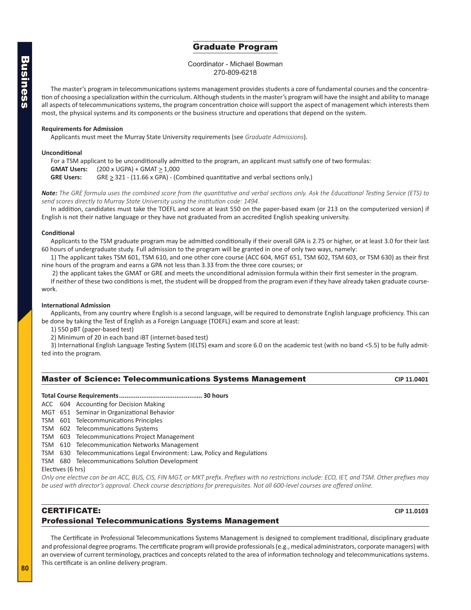### Graduate Program

#### Coordinator - Michael Bowman 270-809-6218

<span id="page-9-0"></span>The master's program in telecommunications systems management provides students a core of fundamental courses and the concentration of choosing a specialization within the curriculum. Although students in the master's program will have the insight and ability to manage all aspects of telecommunications systems, the program concentration choice will support the aspect of management which interests them most, the physical systems and its components or the business structure and operations that depend on the system.

#### **Requirements for Admission**

Applicants must meet the Murray State University requirements (see *Graduate Admissions*).

#### **Unconditional**

For a TSM applicant to be unconditionally admitted to the program, an applicant must satisfy one of two formulas: **GMAT Users:** (200 x UGPA) + GMAT  $\geq$  1,000 GRE Users: GRE  $\geq$  321 - (11.66 x GPA) - (Combined quantitative and verbal sections only.)

*Note: The GRE formula uses the combined score from the quantitative and verbal sections only. Ask the Educational Testing Service (ETS) to send scores directly to Murray State University using the institution code: 1494.*

In addition, candidates must take the TOEFL and score at least 550 on the paper-based exam (or 213 on the computerized version) if English is not their native language or they have not graduated from an accredited English speaking university.

#### **Conditional**

Applicants to the TSM graduate program may be admitted conditionally if their overall GPA is 2.75 or higher, or at least 3.0 for their last 60 hours of undergraduate study. Full admission to the program will be granted in one of only two ways, namely:

1) The applicant takes TSM 601, TSM 610, and one other core course (ACC 604, MGT 651, TSM 602, TSM 603, or TSM 630) as their first nine hours of the program and earns a GPA not less than 3.33 from the three core courses; or

2) the applicant takes the GMAT or GRE and meets the unconditional admission formula within their first semester in the program.

If neither of these two conditions is met, the student will be dropped from the program even if they have already taken graduate coursework.

#### **International Admission**

Applicants, from any country where English is a second language, will be required to demonstrate English language proficiency. This can be done by taking the Test of English as a Foreign Language (TOEFL) exam and score at least:

1) 550 pBT (paper-based test)

2) Minimum of 20 in each band iBT (internet-based test)

3) International English Language Testing System (IELTS) exam and score 6.0 on the academic test (with no band <5.5) to be fully admitted into the program.

| <b>Master of Science: Telecommunications Systems Management</b> | CIP 11.0401 |
|-----------------------------------------------------------------|-------------|
|                                                                 |             |

#### **Total Course Requirements............................................. 30 hours**

ACC 604 Accounting for Decision Making

- MGT 651 Seminar in Organizational Behavior
- TSM 601 Telecommunications Principles
- TSM 602 Telecommunications Systems
- TSM 603 Telecommunications Project Management
- TSM 610 Telecommunication Networks Management
- TSM 630 Telecommunications Legal Environment: Law, Policy and Regulations
- TSM 680 Telecommunications Solution Development

#### Electives (6 hrs)

*Only one elective can be an ACC, BUS, CIS, FIN MGT, or MKT prefix. Prefixes with no restrictions include: ECO, IET, and TSM. Other prefixes may be used with director's approval. Check course descriptions for prerequisites. Not all 600-level courses are offered online.*

#### CERTIFICATE: **CIP 11.0103** Professional Telecommunications Systems Management

The Certificate in Professional Telecommunications Systems Management is designed to complement traditional, disciplinary graduate and professional degree programs. The certificate program will provide professionals (e.g., medical administrators, corporate managers) with an overview of current terminology, practices and concepts related to the area of information technology and telecommunications systems. This certificate is an online delivery program.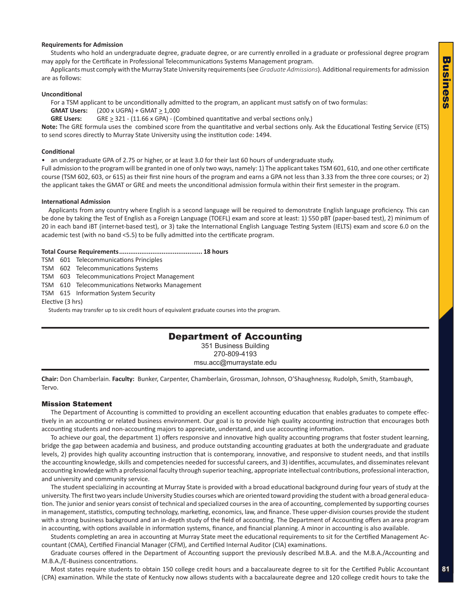#### <span id="page-10-0"></span>**Requirements for Admission**

Students who hold an undergraduate degree, graduate degree, or are currently enrolled in a graduate or professional degree program may apply for the Certificate in Professional Telecommunications Systems Management program.

Applicants must comply with the Murray State University requirements (see *Graduate Admissions*). Additional requirements for admission are as follows:

#### **Unconditional**

For a TSM applicant to be unconditionally admitted to the program, an applicant must satisfy on of two formulas:

**GMAT Users:** (200 x UGPA) + GMAT > 1,000

GRE Users: GRE  $\geq$  321 - (11.66 x GPA) - (Combined quantitative and verbal sections only.)

**Note:** The GRE formula uses the combined score from the quantitative and verbal sections only. Ask the Educational Testing Service (ETS) to send scores directly to Murray State University using the institution code: 1494.

#### **Conditional**

• an undergraduate GPA of 2.75 or higher, or at least 3.0 for their last 60 hours of undergraduate study.

Full admission to the program will be granted in one of only two ways, namely: 1) The applicant takes TSM 601, 610, and one other certificate course (TSM 602, 603, or 615) as their first nine hours of the program and earns a GPA not less than 3.33 from the three core courses; or 2) the applicant takes the GMAT or GRE and meets the unconditional admission formula within their first semester in the program.

#### **International Admission**

Applicants from any country where English is a second language will be required to demonstrate English language proficiency. This can be done by taking the Test of English as a Foreign Language (TOEFL) exam and score at least: 1) 550 pBT (paper-based test), 2) minimum of 20 in each band iBT (internet-based test), or 3) take the International English Language Testing System (IELTS) exam and score 6.0 on the academic test (with no band <5.5) to be fully admitted into the certificate program.

#### **Total Course Requirements............................................. 18 hours**

TSM 601 Telecommunications Principles

TSM 602 Telecommunications Systems

TSM 603 Telecommunications Project Management

TSM 610 Telecommunications Networks Management

TSM 615 Information System Security

Elective (3 hrs)

Students may transfer up to six credit hours of equivalent graduate courses into the program.

#### Department of Accounting

351 Business Building 270-809-4193 msu.acc@murraystate.edu

**Chair:** Don Chamberlain. **Faculty:** Bunker, Carpenter, Chamberlain, Grossman, Johnson, O'Shaughnessy, Rudolph, Smith, Stambaugh, Tervo.

#### Mission Statement

The Department of Accounting is committed to providing an excellent accounting education that enables graduates to compete effectively in an accounting or related business environment. Our goal is to provide high quality accounting instruction that encourages both accounting students and non-accounting majors to appreciate, understand, and use accounting information.

To achieve our goal, the department 1) offers responsive and innovative high quality accounting programs that foster student learning, bridge the gap between academia and business, and produce outstanding accounting graduates at both the undergraduate and graduate levels, 2) provides high quality accounting instruction that is contemporary, innovative, and responsive to student needs, and that instills the accounting knowledge, skills and competencies needed for successful careers, and 3) identifies, accumulates, and disseminates relevant accounting knowledge with a professional faculty through superior teaching, appropriate intellectual contributions, professional interaction, and university and community service.

The student specializing in accounting at Murray State is provided with a broad educational background during four years of study at the university. The first two years include University Studies courses which are oriented toward providing the student with a broad general education. The junior and senior years consist of technical and specialized courses in the area of accounting, complemented by supporting courses in management, statistics, computing technology, marketing, economics, law, and finance. These upper-division courses provide the student with a strong business background and an in-depth study of the field of accounting. The Department of Accounting offers an area program in accounting, with options available in information systems, finance, and financial planning. A minor in accounting is also available.

Students completing an area in accounting at Murray State meet the educational requirements to sit for the Certified Management Accountant (CMA), Certified Financial Manager (CFM), and Certified Internal Auditor (CIA) examinations.

Graduate courses offered in the Department of Accounting support the previously described M.B.A. and the M.B.A./Accounting and M.B.A./E-Business concentrations.

Most states require students to obtain 150 college credit hours and a baccalaureate degree to sit for the Certified Public Accountant (CPA) examination. While the state of Kentucky now allows students with a baccalaureate degree and 120 college credit hours to take the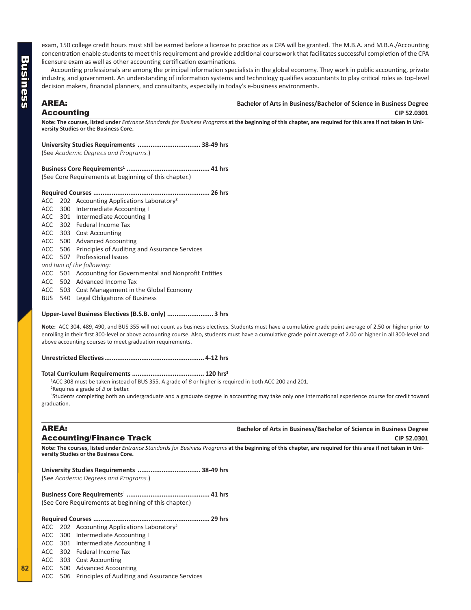<span id="page-11-0"></span>exam, 150 college credit hours must still be earned before a license to practice as a CPA will be granted. The M.B.A. and M.B.A./Accounting concentration enable students to meet this requirement and provide additional coursework that facilitates successful completion of the CPA licensure exam as well as other accounting certification examinations.

Accounting professionals are among the principal information specialists in the global economy. They work in public accounting, private industry, and government. An understanding of information systems and technology qualifies accountants to play critical roles as top-level decision makers, financial planners, and consultants, especially in today's e-business environments.

#### AREA: **Bachelor of Arts in Business/Bachelor of Science in Business Degree** Accounting **CIP 52.0301**

**Note: The courses, listed under** *Entrance Standards for Business Programs* **at the beginning of this chapter, are required for this area if not taken in University Studies or the Business Core.** 

**University Studies Requirements .................................. 38-49 hrs** (See *Academic Degrees and Programs.*)

**Business Core Requirements1 ............................................. 41 hrs** (See Core Requirements at beginning of this chapter.)

#### **Required Courses ............................................................... 26 hrs**

|  | ACC 202 Accounting Applications Laboratory <sup>2</sup>    |
|--|------------------------------------------------------------|
|  | ACC 300 Intermediate Accounting I                          |
|  | ACC 301 Intermediate Accounting II                         |
|  | ACC 302 Federal Income Tax                                 |
|  | ACC 303 Cost Accounting                                    |
|  | ACC 500 Advanced Accounting                                |
|  | ACC 506 Principles of Auditing and Assurance Services      |
|  | ACC 507 Professional Issues                                |
|  | and two of the following:                                  |
|  | ACC 501 Accounting for Governmental and Nonprofit Entities |
|  | ACC 502 Advanced Income Tax                                |
|  | ACC 503 Cost Management in the Global Economy              |

BUS 540 Legal Obligations of Business

#### **Upper-Level Business Electives (B.S.B. only) ......................... 3 hrs**

**Note:** ACC 304, 489, 490, and BUS 355 will not count as business electives. Students must have a cumulative grade point average of 2.50 or higher prior to enrolling in their first 300-level or above accounting course. Also, students must have a cumulative grade point average of 2.00 or higher in all 300-level and above accounting courses to meet graduation requirements.

**Unrestricted Electives...................................................... 4-12 hrs**

#### **Total Curriculum Requirements ....................................... 120 hrs3**

1 ACC 308 must be taken instead of BUS 355. A grade of *B* or higher is required in both ACC 200 and 201.

2 Requires a grade of *B* or better.

<sup>3</sup>Students completing both an undergraduate and a graduate degree in accounting may take only one international experience course for credit toward graduation.

**Note: The courses, listed under** *Entrance Standards for Business Programs* **at the beginning of this chapter, are required for this area if not taken in University Studies or the Business Core.** 

**University Studies Requirements .................................. 38-49 hrs** (See *Academic Degrees and Programs.*)

**Business Core Requirements**<sup>1</sup> **............................................. 41 hrs** (See Core Requirements at beginning of this chapter.)

#### **Required Courses ............................................................... 29 hrs**

- ACC 202 Accounting Applications Laboratory<sup>2</sup>
- ACC 300 Intermediate Accounting I
- ACC 301 Intermediate Accounting II
- ACC 302 Federal Income Tax
- ACC 303 Cost Accounting
- ACC 500 Advanced Accounting
- ACC 506 Principles of Auditing and Assurance Services

### **AREA: Bachelor of Arts in Business/Bachelor of Science in Business Degree** Accounting/Finance Track **CIP 52.0301**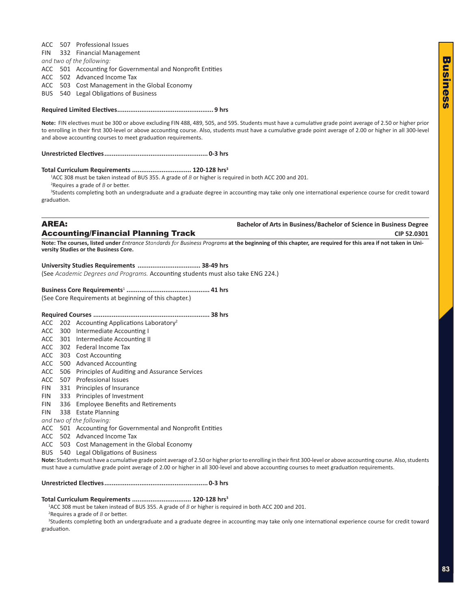ACC 507 Professional Issues FIN 332 Financial Management *and two of the following:* ACC 501 Accounting for Governmental and Nonprofit Entities ACC 502 Advanced Income Tax ACC 503 Cost Management in the Global Economy BUS 540 Legal Obligations of Business

#### **Required Limited Electives.................................................... 9 hrs**

**Note:** FIN electives must be 300 or above excluding FIN 488, 489, 505, and 595. Students must have a cumulative grade point average of 2.50 or higher prior to enrolling in their first 300-level or above accounting course. Also, students must have a cumulative grade point average of 2.00 or higher in all 300-level and above accounting courses to meet graduation requirements.

**Unrestricted Electives........................................................ 0-3 hrs**

#### **Total Curriculum Requirements ................................ 120-128 hrs3**

1 ACC 308 must be taken instead of BUS 355. A grade of *B* or higher is required in both ACC 200 and 201. 2 Requires a grade of *B* or better.

<sup>3</sup>Students completing both an undergraduate and a graduate degree in accounting may take only one international experience course for credit toward graduation.

AREA: **Bachelor of Arts in Business/Bachelor of Science in Business Degree Accounting/Financial Planning Track**  CIP 52.0301

**Note: The courses, listed under** *Entrance Standards for Business Programs* **at the beginning of this chapter, are required for this area if not taken in University Studies or the Business Core.** 

#### **University Studies Requirements .................................. 38-49 hrs**

(See *Academic Degrees and Programs.* Accounting students must also take ENG 224.)

#### **Business Core Requirements**<sup>1</sup> **............................................. 41 hrs**

(See Core Requirements at beginning of this chapter.)

#### **Required Courses ............................................................... 38 hrs**

- ACC 202 Accounting Applications Laboratory<sup>2</sup>
- ACC 300 Intermediate Accounting I
- ACC 301 Intermediate Accounting II
- ACC 302 Federal Income Tax
- ACC 303 Cost Accounting
- ACC 500 Advanced Accounting
- ACC 506 Principles of Auditing and Assurance Services
- ACC 507 Professional Issues
- FIN 331 Principles of Insurance
- FIN 333 Principles of Investment
- FIN 336 Employee Benefits and Retirements
- FIN 338 Estate Planning
- *and two of the following:*
- ACC 501 Accounting for Governmental and Nonprofit Entities
- ACC 502 Advanced Income Tax
- ACC 503 Cost Management in the Global Economy
- BUS 540 Legal Obligations of Business

**Note:** Students must have a cumulative grade point average of 2.50 or higher prior to enrolling in their first 300-level or above accounting course. Also, students must have a cumulative grade point average of 2.00 or higher in all 300-level and above accounting courses to meet graduation requirements.

#### **Unrestricted Electives........................................................ 0-3 hrs**

#### **Total Curriculum Requirements ................................ 120-128 hrs3**

1 ACC 308 must be taken instead of BUS 355. A grade of *B* or higher is required in both ACC 200 and 201.

2 Requires a grade of *B* or better.

<sup>3</sup>Students completing both an undergraduate and a graduate degree in accounting may take only one international experience course for credit toward graduation.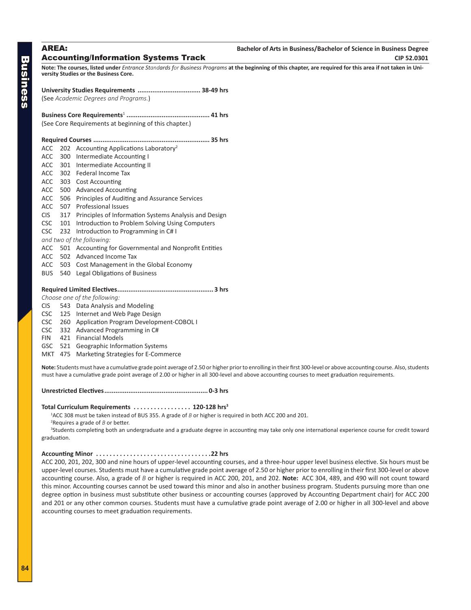<span id="page-13-0"></span>

| <b>AREA:</b><br><b>Accounting/Information Systems Track</b>                                                                                                                                         | Bachelor of Arts in Business/Bachelor of Science in Business Degree<br>CIP 52.0301 |
|-----------------------------------------------------------------------------------------------------------------------------------------------------------------------------------------------------|------------------------------------------------------------------------------------|
| Note: The courses, listed under Entrance Standards for Business Programs at the beginning of this chapter, are required for this area if not taken in Uni-<br>versity Studies or the Business Core. |                                                                                    |
| (See Academic Degrees and Programs.)                                                                                                                                                                |                                                                                    |
| (See Core Requirements at beginning of this chapter.)                                                                                                                                               |                                                                                    |
| $ACC$ 202 Accounting Applications Laboratory <sup>2</sup><br>ACC 300 Intermediate Accounting I                                                                                                      |                                                                                    |

- ACC 301 Intermediate Accounting II
- ACC 302 Federal Income Tax
- ACC 303 Cost Accounting
- ACC 500 Advanced Accounting
- ACC 506 Principles of Auditing and Assurance Services
- ACC 507 Professional Issues
- CIS 317 Principles of Information Systems Analysis and Design
- CSC 101 Introduction to Problem Solving Using Computers
- CSC 232 Introduction to Programming in C# I
- *and two of the following:*
- ACC 501 Accounting for Governmental and Nonprofit Entities
- ACC 502 Advanced Income Tax
- ACC 503 Cost Management in the Global Economy
- BUS 540 Legal Obligations of Business

#### **Required Limited Electives.................................................... 3 hrs**

- *Choose one of the following:*
- CIS 543 Data Analysis and Modeling
- CSC 125 Internet and Web Page Design
- CSC 260 Application Program Development-COBOL I
- CSC 332 Advanced Programming in C#
- FIN 421 Financial Models
- GSC 521 Geographic Information Systems
- MKT 475 Marketing Strategies for E-Commerce

**Note:** Students must have a cumulative grade point average of 2.50 or higher prior to enrolling in their first 300-level or above accounting course. Also, students must have a cumulative grade point average of 2.00 or higher in all 300-level and above accounting courses to meet graduation requirements.

**Unrestricted Electives........................................................ 0-3 hrs**

#### **Total Curriculum Requirements. . 120-128 hrs3**

1 ACC 308 must be taken instead of BUS 355. A grade of *B* or higher is required in both ACC 200 and 201.

2 Requires a grade of *B* or better.

<sup>3</sup>Students completing both an undergraduate and a graduate degree in accounting may take only one international experience course for credit toward graduation.

#### **Accounting Minor. 22 hrs**

ACC 200, 201, 202, 300 and nine hours of upper-level accounting courses, and a three-hour upper level business elective. Six hours must be upper-level courses. Students must have a cumulative grade point average of 2.50 or higher prior to enrolling in their first 300-level or above accounting course. Also, a grade of *B* or higher is required in ACC 200, 201, and 202. **Note:** ACC 304, 489, and 490 will not count toward this minor. Accounting courses cannot be used toward this minor and also in another business program. Students pursuing more than one degree option in business must substitute other business or accounting courses (approved by Accounting Department chair) for ACC 200 and 201 or any other common courses. Students must have a cumulative grade point average of 2.00 or higher in all 300-level and above accounting courses to meet graduation requirements.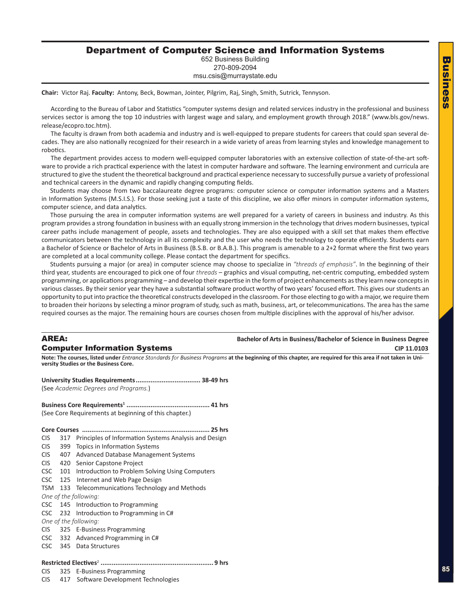### <span id="page-14-0"></span>Department of Computer Science and Information Systems

652 Business Building 270-809-2094

msu.csis@murraystate.edu

**Chair:** Victor Raj. **Faculty:** Antony, Beck, Bowman, Jointer, Pilgrim, Raj, Singh, Smith, Sutrick, Tennyson.

According to the Bureau of Labor and Statistics "computer systems design and related services industry in the professional and business services sector is among the top 10 industries with largest wage and salary, and employment growth through 2018." (www.bls.gov/news. release/ecopro.toc.htm).

The faculty is drawn from both academia and industry and is well-equipped to prepare students for careers that could span several decades. They are also nationally recognized for their research in a wide variety of areas from learning styles and knowledge management to robotics.

The department provides access to modern well-equipped computer laboratories with an extensive collection of state-of-the-art software to provide a rich practical experience with the latest in computer hardware and software. The learning environment and curricula are structured to give the student the theoretical background and practical experience necessary to successfully pursue a variety of professional and technical careers in the dynamic and rapidly changing computing fields.

Students may choose from two baccalaureate degree programs: computer science or computer information systems and a Masters in Information Systems (M.S.I.S.). For those seeking just a taste of this discipline, we also offer minors in computer information systems, computer science, and data analytics.

Those pursuing the area in computer information systems are well prepared for a variety of careers in business and industry. As this program provides a strong foundation in business with an equally strong immersion in the technology that drives modern businesses, typical career paths include management of people, assets and technologies. They are also equipped with a skill set that makes them effective communicators between the technology in all its complexity and the user who needs the technology to operate efficiently. Students earn a Bachelor of Science or Bachelor of Arts in Business (B.S.B. or B.A.B.). This program is amenable to a 2+2 format where the first two years are completed at a local community college. Please contact the department for specifics.

Students pursuing a major (or area) in computer science may choose to specialize in *"threads of emphasis"*. In the beginning of their third year, students are encouraged to pick one of four *threads* – graphics and visual computing, net-centric computing, embedded system programming, or applications programming – and develop their expertise in the form of project enhancements as they learn new concepts in various classes. By their senior year they have a substantial software product worthy of two years' focused effort. This gives our students an opportunity to put into practice the theoretical constructs developed in the classroom. For those electing to go with a major, we require them to broaden their horizons by selecting a minor program of study, such as math, business, art, or telecommunications. The area has the same required courses as the major. The remaining hours are courses chosen from multiple disciplines with the approval of his/her advisor.

**AREA: Bachelor of Arts in Business/Bachelor of Science in Business Degree Computer Information Systems**   $\blacksquare$ 

**Note: The courses, listed under** *Entrance Standards for Business Programs* **at the beginning of this chapter, are required for this area if not taken in University Studies or the Business Core.**

**University Studies Requirements................................... 38-49 hrs** (See *Academic Degrees and Programs.*)

**Business Core Requirements1 ............................................. 41 hrs** (See Core Requirements at beginning of this chapter.)

- **Core Courses ..................................................................... 25 hrs**
- CIS 317 Principles of Information Systems Analysis and Design
- CIS 399 Topics in Information Systems
- CIS 407 Advanced Database Management Systems
- CIS 420 Senior Capstone Project
- CSC 101 Introduction to Problem Solving Using Computers
- CSC 125 Internet and Web Page Design
- TSM 133 Telecommunications Technology and Methods
- *One of the following:*
- CSC 145 Introduction to Programming
- CSC 232 Introduction to Programming in C#
- *One of the following:*
- CIS 325 E-Business Programming
- CSC 332 Advanced Programming in C#
- CSC 345 Data Structures

#### **Restricted Electives**<sup>2</sup> **............................................................. 9 hrs**

CIS 325 E-Business Programming CIS 417 Software Development Technologies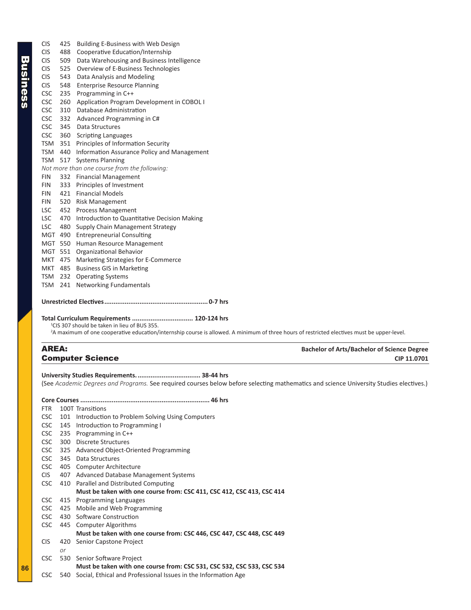<span id="page-15-0"></span>

| <b>CIS</b> | 425 | Building E-Business with Web Design          |
|------------|-----|----------------------------------------------|
| <b>CIS</b> | 488 | Cooperative Education/Internship             |
| <b>CIS</b> | 509 | Data Warehousing and Business Intelligence   |
| <b>CIS</b> | 525 | Overview of E-Business Technologies          |
| <b>CIS</b> | 543 | Data Analysis and Modeling                   |
| <b>CIS</b> | 548 | <b>Enterprise Resource Planning</b>          |
| <b>CSC</b> | 235 | Programming in C++                           |
| <b>CSC</b> | 260 | Application Program Development in COBOL I   |
| <b>CSC</b> | 310 | Database Administration                      |
| <b>CSC</b> | 332 | Advanced Programming in C#                   |
| <b>CSC</b> | 345 | Data Structures                              |
| <b>CSC</b> | 360 | <b>Scripting Languages</b>                   |
| TSM        | 351 | Principles of Information Security           |
| TSM 440    |     | Information Assurance Policy and Management  |
| <b>TSM</b> | 517 | <b>Systems Planning</b>                      |
|            |     | Not more than one course from the following: |
| <b>FIN</b> | 332 | <b>Financial Management</b>                  |
| <b>FIN</b> | 333 | Principles of Investment                     |
| <b>FIN</b> | 421 | <b>Financial Models</b>                      |
| <b>FIN</b> | 520 | <b>Risk Management</b>                       |
| <b>LSC</b> | 452 | <b>Process Management</b>                    |
| <b>LSC</b> | 470 | Introduction to Quantitative Decision Making |
| <b>LSC</b> | 480 | Supply Chain Management Strategy             |
| <b>MGT</b> | 490 | <b>Entrepreneurial Consulting</b>            |
| MGT        | 550 | Human Resource Management                    |
| <b>MGT</b> | 551 | Organizational Behavior                      |
| MKT 475    |     | Marketing Strategies for E-Commerce          |
| MKT        | 485 | <b>Business GIS in Marketing</b>             |
| TSM        | 232 | <b>Operating Systems</b>                     |
| <b>TSM</b> | 241 | <b>Networking Fundamentals</b>               |

### **Unrestricted Electives........................................................ 0-7 hrs**

#### **Total Curriculum Requirements ................................. 120-124 hrs**

1 CIS 307 should be taken in lieu of BUS 355.

2 A maximum of one cooperative education/internship course is allowed. A minimum of three hours of restricted electives must be upper-level.

### AREA: **Bachelor of Arts/Bachelor of Science Degree** Computer Science **COMPUTER CIP 11.0701**

**University Studies Requirements................................... 38-44 hrs** (See *Academic Degrees and Programs.* See required courses below before selecting mathematics and science University Studies electives.)

| <b>FTR</b> |     | 100T Transitions                                                       |
|------------|-----|------------------------------------------------------------------------|
| <b>CSC</b> |     | 101 Introduction to Problem Solving Using Computers                    |
| <b>CSC</b> | 145 | Introduction to Programming I                                          |
| CSC        |     | 235 Programming in C++                                                 |
| CSC        | 300 | <b>Discrete Structures</b>                                             |
| <b>CSC</b> |     | 325 Advanced Object-Oriented Programming                               |
| CSC        | 345 | Data Structures                                                        |
| CSC.       |     | 405 Computer Architecture                                              |
| CIS.       |     | 407 Advanced Database Management Systems                               |
| <b>CSC</b> |     | 410 Parallel and Distributed Computing                                 |
|            |     | Must be taken with one course from: CSC 411, CSC 412, CSC 413, CSC 414 |
| CSC.       |     | 415 Programming Languages                                              |
| CSC        |     | 425 Mobile and Web Programming                                         |
| CSC        |     | 430 Software Construction                                              |
| CSC        |     | 445 Computer Algorithms                                                |
|            |     | Must be taken with one course from: CSC 446, CSC 447, CSC 448, CSC 449 |
| <b>CIS</b> |     | 420 Senior Capstone Project                                            |
|            | or  |                                                                        |
| <b>CSC</b> |     | 530 Senior Software Project                                            |
|            |     | Must be taken with one course from: CSC 531, CSC 532, CSC 533, CSC 534 |
| CSC        |     | 540 Social, Ethical and Professional Issues in the Information Age     |

**86**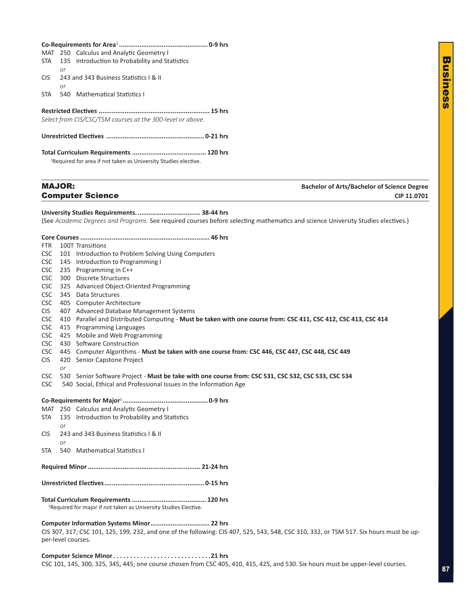<span id="page-16-0"></span>

|                          |               | MAT 250 Calculus and Analytic Geometry I                                                                                                                                             |                                                    |
|--------------------------|---------------|--------------------------------------------------------------------------------------------------------------------------------------------------------------------------------------|----------------------------------------------------|
| <b>STA</b>               | or            | 135 Introduction to Probability and Statistics                                                                                                                                       |                                                    |
| <b>CIS</b>               | or            | 243 and 343 Business Statistics   & II                                                                                                                                               |                                                    |
| <b>STA</b>               |               | 540 Mathematical Statistics I                                                                                                                                                        |                                                    |
|                          |               | Select from CIS/CSC/TSM courses at the 300-level or above.                                                                                                                           |                                                    |
|                          |               |                                                                                                                                                                                      |                                                    |
|                          |               |                                                                                                                                                                                      |                                                    |
|                          |               | <sup>1</sup> Required for area if not taken as University Studies elective.                                                                                                          |                                                    |
|                          | <b>MAJOR:</b> |                                                                                                                                                                                      | <b>Bachelor of Arts/Bachelor of Science Degree</b> |
|                          |               | <b>Computer Science</b>                                                                                                                                                              | CIP 11.0701                                        |
|                          |               |                                                                                                                                                                                      |                                                    |
|                          |               | (See Academic Degrees and Programs. See required courses before selecting mathematics and science University Studies electives.)                                                     |                                                    |
|                          |               |                                                                                                                                                                                      |                                                    |
|                          |               |                                                                                                                                                                                      |                                                    |
| FTR.                     |               | 100T Transitions                                                                                                                                                                     |                                                    |
| <b>CSC</b>               |               | 101 Introduction to Problem Solving Using Computers                                                                                                                                  |                                                    |
| <b>CSC</b>               |               | 145 Introduction to Programming I                                                                                                                                                    |                                                    |
| <b>CSC</b>               |               | 235 Programming in C++                                                                                                                                                               |                                                    |
| <b>CSC</b>               |               | 300 Discrete Structures                                                                                                                                                              |                                                    |
| CSC                      |               | 325 Advanced Object-Oriented Programming                                                                                                                                             |                                                    |
| <b>CSC</b>               |               | 345 Data Structures                                                                                                                                                                  |                                                    |
| <b>CSC</b><br><b>CIS</b> |               | 405 Computer Architecture<br>407 Advanced Database Management Systems                                                                                                                |                                                    |
| <b>CSC</b>               |               | 410 Parallel and Distributed Computing - Must be taken with one course from: CSC 411, CSC 412, CSC 413, CSC 414                                                                      |                                                    |
| <b>CSC</b>               |               | 415 Programming Languages                                                                                                                                                            |                                                    |
| CSC                      |               | 425 Mobile and Web Programming                                                                                                                                                       |                                                    |
| <b>CSC</b>               |               | 430 Software Construction                                                                                                                                                            |                                                    |
| <b>CSC</b>               |               | 445 Computer Algorithms - Must be taken with one course from: CSC 446, CSC 447, CSC 448, CSC 449                                                                                     |                                                    |
| <b>CIS</b>               | or            | 420 Senior Capstone Project                                                                                                                                                          |                                                    |
| <b>CSC</b><br>CSC        |               | 530 Senior Software Project - Must be take with one course from: CSC 531, CSC 532, CSC 533, CSC 534<br>540 Social, Ethical and Professional Issues in the Information Age            |                                                    |
|                          |               |                                                                                                                                                                                      |                                                    |
|                          |               | MAT 250 Calculus and Analytic Geometry I                                                                                                                                             |                                                    |
| <b>STA</b>               | or            | 135 Introduction to Probability and Statistics                                                                                                                                       |                                                    |
| <b>CIS</b>               | or            | 243 and 343 Business Statistics I & II                                                                                                                                               |                                                    |
| <b>STA</b>               |               | 540 Mathematical Statistics I                                                                                                                                                        |                                                    |
|                          |               |                                                                                                                                                                                      |                                                    |
|                          |               |                                                                                                                                                                                      |                                                    |
|                          |               | <sup>1</sup> Required for major if not taken as University Studies Elective.                                                                                                         |                                                    |
|                          |               | Computer Information Systems Minor 22 hrs<br>CIS 307, 317; CSC 101, 125, 199, 232, and one of the following: CIS 407, 525, 543, 548, CSC 310, 332, or TSM 517. Six hours must be up- |                                                    |
|                          |               | per-level courses.                                                                                                                                                                   |                                                    |

Business

**Business**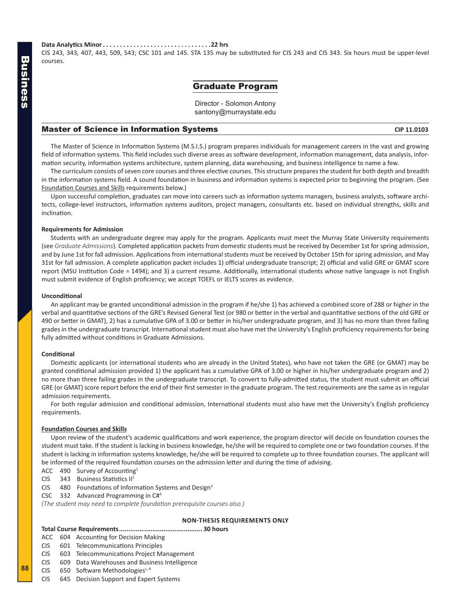#### <span id="page-17-0"></span>**Data Analytics Minor. 22 hrs**

CIS 243, 343, 407, 443, 509, 543; CSC 101 and 145. STA 135 may be substituted for CIS 243 and CIS 343. Six hours must be upper-level courses.

#### Graduate Program

Director - Solomon Antony santony@murraystate.edu

#### **Master of Science in Information Systems CIP 11.0103** CIP 11.0103

The Master of Science in Information Systems (M.S.I.S.) program prepares individuals for management careers in the vast and growing field of information systems. This field includes such diverse areas as software development, information management, data analysis, information security, information systems architecture, system planning, data warehousing, and business intelligence to name a few.

The curriculum consists of seven core courses and three elective courses. This structure prepares the student for both depth and breadth in the information systems field. A sound foundation in business and information systems is expected prior to beginning the program. (See Foundation Courses and Skills requirements below.)

Upon successful completion, graduates can move into careers such as information systems managers, business analysts, software architects, college-level instructors, information systems auditors, project managers, consultants etc. based on individual strengths, skills and inclination.

#### **Requirements for Admission**

Students with an undergraduate degree may apply for the program. Applicants must meet the Murray State University requirements (see *Graduate Admissions*). Completed application packets from domestic students must be received by December 1st for spring admission, and by June 1st for fall admission. Applications from international students must be received by October 15th for spring admission, and May 31st for fall admission. A complete application packet includes 1) official undergraduate transcript; 2) official and valid GRE or GMAT score report (MSU Institution Code = 1494); and 3) a current resume. Additionally, international students whose native language is not English must submit evidence of English proficiency; we accept TOEFL or IELTS scores as evidence.

#### **Unconditional**

An applicant may be granted unconditional admission in the program if he/she 1) has achieved a combined score of 288 or higher in the verbal and quantitative sections of the GRE's Revised General Test (or 980 or better in the verbal and quantitative sections of the old GRE or 490 or better in GMAT), 2) has a cumulative GPA of 3.00 or better in his/her undergraduate program, and 3) has no more than three failing grades in the undergraduate transcript. International student must also have met the University's English proficiency requirements for being fully admitted without conditions in Graduate Admissions.

#### **Conditional**

Domestic applicants (or international students who are already in the United States), who have not taken the GRE (or GMAT) may be granted conditional admission provided 1) the applicant has a cumulative GPA of 3.00 or higher in his/her undergraduate program and 2) no more than three failing grades in the undergraduate transcript. To convert to fully-admitted status, the student must submit an official GRE (or GMAT) score report before the end of their first semester in the graduate program. The test requirements are the same as in regular admission requirements.

For both regular admission and conditional admission, International students must also have met the University's English proficiency requirements.

#### **Foundation Courses and Skills**

Upon review of the student's academic qualifications and work experience, the program director will decide on foundation courses the student must take. If the student is lacking in business knowledge, he/she will be required to complete one or two foundation courses. If the student is lacking in information systems knowledge, he/she will be required to complete up to three foundation courses. The applicant will be informed of the required foundation courses on the admission letter and during the time of advising.

- ACC 490 Survey of Accounting<sup>1</sup>
- CIS 343 Business Statistics II<sup>2</sup>
- CIS 480 Foundations of Information Systems and Design<sup>3</sup>
- CSC 332 Advanced Programming in C#4

*(The student may need to complete foundation prerequisite courses also.)*

#### **NON-THESIS REQUIREMENTS ONLY**

**Total Course Requirements............................................. 30 hours**

- ACC 604 Accounting for Decision Making
- CIS 601 Telecommunications Principles
- CIS 603 Telecommunications Project Management
- CIS 609 Data Warehouses and Business Intelligence

CIS 650 Software Methodologies $L, R$ 

**88**

CIS 645 Decision Support and Expert Systems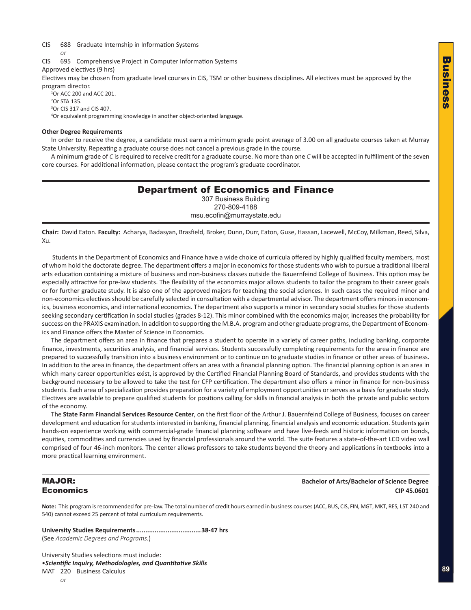<span id="page-18-0"></span>CIS 688 Graduate Internship in Information Systems

*or*

CIS 695 Comprehensive Project in Computer Information Systems

Approved electives (9 hrs)

Electives may be chosen from graduate level courses in CIS, TSM or other business disciplines. All electives must be approved by the program director.

<sup>1</sup>Or ACC 200 and ACC 201. 2 Or STA 135. 3 Or CIS 317 and CIS 407.

4 Or equivalent programming knowledge in another object-oriented language.

#### **Other Degree Requirements**

In order to receive the degree, a candidate must earn a minimum grade point average of 3.00 on all graduate courses taken at Murray State University. Repeating a graduate course does not cancel a previous grade in the course.

A minimum grade of *C* is required to receive credit for a graduate course. No more than one *C* will be accepted in fulfillment of the seven core courses. For additional information, please contact the program's graduate coordinator.

### Department of Economics and Finance 307 Business Building 270-809-4188

msu.ecofin@murraystate.edu

**Chair:** David Eaton. **Faculty:** Acharya, Badasyan, Brasfield, Broker, Dunn, Durr, Eaton, Guse, Hassan, Lacewell, McCoy, Milkman, Reed, Silva, Xu.

Students in the Department of Economics and Finance have a wide choice of curricula offered by highly qualified faculty members, most of whom hold the doctorate degree. The department offers a major in economics for those students who wish to pursue a traditional liberal arts education containing a mixture of business and non-business classes outside the Bauernfeind College of Business. This option may be especially attractive for pre-law students. The flexibility of the economics major allows students to tailor the program to their career goals or for further graduate study. It is also one of the approved majors for teaching the social sciences. In such cases the required minor and non-economics electives should be carefully selected in consultation with a departmental advisor. The department offers minors in economics, business economics, and international economics. The department also supports a minor in secondary social studies for those students seeking secondary certification in social studies (grades 8-12). This minor combined with the economics major, increases the probability for success on the PRAXIS examination. In addition to supporting the M.B.A. program and other graduate programs, the Department of Economics and Finance offers the Master of Science in Economics.

The department offers an area in finance that prepares a student to operate in a variety of career paths, including banking, corporate finance, investments, securities analysis, and financial services. Students successfully completing requirements for the area in finance are prepared to successfully transition into a business environment or to continue on to graduate studies in finance or other areas of business. In addition to the area in finance, the department offers an area with a financial planning option. The financial planning option is an area in which many career opportunities exist, is approved by the Certified Financial Planning Board of Standards, and provides students with the background necessary to be allowed to take the test for CFP certification. The department also offers a minor in finance for non-business students. Each area of specialization provides preparation for a variety of employment opportunities or serves as a basis for graduate study. Electives are available to prepare qualified students for positions calling for skills in financial analysis in both the private and public sectors of the economy.

The **State Farm Financial Services Resource Center**, on the first floor of the Arthur J. Bauernfeind College of Business, focuses on career development and education for students interested in banking, financial planning, financial analysis and economic education. Students gain hands-on experience working with commercial-grade financial planning software and have live-feeds and historic information on bonds, equities, commodities and currencies used by financial professionals around the world. The suite features a state-of-the-art LCD video wall comprised of four 46-inch monitors. The center allows professors to take students beyond the theory and applications in textbooks into a more practical learning environment.

MAJOR: **Bachelor of Arts/Bachelor of Science Degree** Economics **CIP 45.0601**

**Note:** This program is recommended for pre-law. The total number of credit hours earned in business courses (ACC, BUS, CIS, FIN, MGT, MKT, RES, LST 240 and 540) cannot exceed 25 percent of total curriculum requirements.

**University Studies Requirements...................................38-47 hrs** (See *Academic Degrees and Programs.*)

University Studies selections must include: •*Scientific Inquiry, Methodologies, and Quantitative Skills* MAT 220 Business Calculus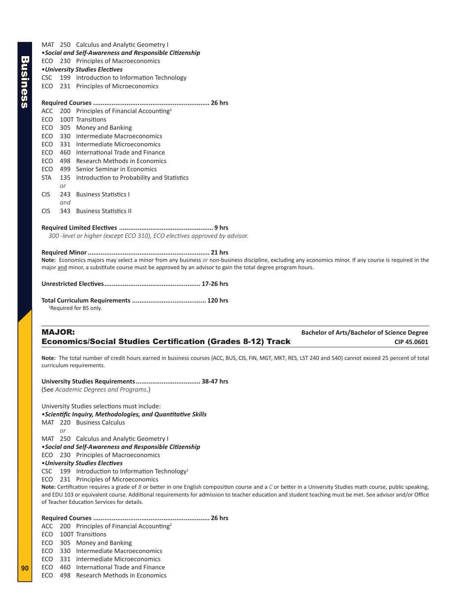MAT 250 Calculus and Analytic Geometry I •*Social and Self-Awareness and Responsible Citizenship* ECO 230 Principles of Macroeconomics •*University Studies Electives* CSC 199 Introduction to Information Technology ECO 231 Principles of Microeconomics **Required Courses ............................................................... 26 hrs** ACC 200 Principles of Financial Accounting<sup>1</sup> ECO 100T Transitions ECO 305 Money and Banking ECO 330 Intermediate Macroeconomics ECO 331 Intermediate Microeconomics ECO 460 International Trade and Finance ECO 498 Research Methods in Economics ECO 499 Senior Seminar in Economics STA 135 Introduction to Probability and Statistics *or* CIS 243 Business Statistics I *and* CIS 343 Business Statistics II **Required Limited Electives ................................................... 9 hrs** *300 -level or higher (except ECO 310), ECO electives approved by advisor.* 

#### **Required Minor.................................................................. 21 hrs**

**Note:** Economics majors may select a minor from any business *or* non-business discipline, excluding any economics minor. If any course is required in the major and minor, a substitute course must be approved by an advisor to gain the total degree program hours.

| <sup>1</sup> Required for BS only. |  |
|------------------------------------|--|

### MAJOR: **Bachelor of Arts/Bachelor of Science Degree Economics/Social Studies Certification (Grades 8-12) Track CIP 45.0601** CIP 45.0601

**Note:** The total number of credit hours earned in business courses (ACC, BUS, CIS, FIN, MGT, MKT, RES, LST 240 and 540) cannot exceed 25 percent of total curriculum requirements.

#### **University Studies Requirements................................... 38-47 hrs**

(See *Academic Degrees and Programs*.)

University Studies selections must include:

#### •*Scientific Inquiry, Methodologies, and Quantitative Skills*

MAT 220 Business Calculus

*or*

MAT 250 Calculus and Analytic Geometry I

#### •*Social and Self-Awareness and Responsible Citizenship*

ECO 230 Principles of Macroeconomics

#### •*University Studies Electives*

CSC 199 Introduction to Information Technology<sup>1</sup>

ECO 231 Principles of Microeconomics

**Note:** Certification requires a grade of *B* or better in one English composition course and a *C* or better in a University Studies math course, public speaking, and EDU 103 or equivalent course. Additional requirements for admission to teacher education and student teaching must be met. See advisor and/or Office of Teacher Education Services for details.

#### **Required Courses ............................................................... 26 hrs**

- ACC 200 Principles of Financial Accounting<sup>2</sup>
- ECO 100T Transitions

ECO 305 Money and Banking

- ECO 330 Intermediate Macroeconomics
- ECO 331 Intermediate Microeconomics

ECO 460 International Trade and Finance

ECO 498 Research Methods in Economics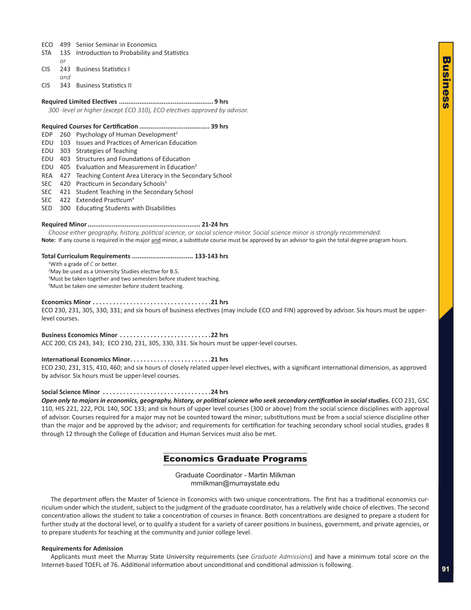- <span id="page-20-0"></span>ECO 499 Senior Seminar in Economics
- STA 135 Introduction to Probability and Statistics
- *or*
- CIS 243 Business Statistics I *and*
- CIS 343 Business Statistics II

#### **Required Limited Electives ................................................... 9 hrs**

*300 -level or higher (except ECO 310), ECO electives approved by advisor.* 

#### **Required Courses for Certification ...................................... 39 hrs**

- EDP 260 Psychology of Human Development<sup>2</sup>
- EDU 103 Issues and Practices of American Education
- EDU 303 Strategies of Teaching
- EDU 403 Structures and Foundations of Education
- EDU  $405$  Evaluation and Measurement in Education<sup>3</sup>
- REA 427 Teaching Content Area Literacy in the Secondary School
- SEC 420 Practicum in Secondary Schools<sup>3</sup>
- SEC 421 Student Teaching in the Secondary School
- SEC 422 Extended Practicum<sup>4</sup>
- SED 300 Educating Students with Disabilities

#### **Required Minor............................................................. 21-24 hrs**

*Choose either geography, history, political science, or social science minor. Social science minor is strongly recommended.* Note: If any course is required in the major and minor, a substitute course must be approved by an advisor to gain the total degree program hours.

#### **Total Curriculum Requirements ................................. 133-143 hrs**

1 With a grade of *C* or better.

<sup>2</sup>May be used as a University Studies elective for B.S.

<sup>3</sup>Must be taken together and two semesters before student teaching. 4 Must be taken one semester before student teaching.

#### **Economics Minor . 21 hrs**

ECO 230, 231, 305, 330, 331; and six hours of business electives (may include ECO and FIN) approved by advisor. Six hours must be upperlevel courses.

#### **Business Economics Minor . 22 hrs**

ACC 200, CIS 243, 343; ECO 230, 231, 305, 330, 331. Six hours must be upper-level courses.

#### **International Economics Minor. 21 hrs**

ECO 230, 231, 315, 410, 460; and six hours of closely related upper-level electives, with a significant international dimension, as approved by advisor. Six hours must be upper-level courses.

#### **Social Science Minor. 24 hrs**

*Open only to majors in economics, geography, history, or political science who seek secondary certification in social studies.* ECO 231, GSC 110, HIS 221, 222, POL 140, SOC 133; and six hours of upper level courses (300 or above) from the social science disciplines with approval of advisor. Courses required for a major may not be counted toward the minor; substitutions must be from a social science discipline other than the major and be approved by the advisor; and requirements for certification for teaching secondary school social studies, grades 8 through 12 through the College of Education and Human Services must also be met.

### Economics Graduate Programs

Graduate Coordinator - Martin Milkman mmilkman@murraystate.edu

The department offers the Master of Science in Economics with two unique concentrations. The first has a traditional economics curriculum under which the student, subject to the judgment of the graduate coordinator, has a relatively wide choice of electives. The second concentration allows the student to take a concentration of courses in finance. Both concentrations are designed to prepare a student for further study at the doctoral level, or to qualify a student for a variety of career positions in business, government, and private agencies, or to prepare students for teaching at the community and junior college level.

#### **Requirements for Admission**

Applicants must meet the Murray State University requirements (see *Graduate Admissions*) and have a minimum total score on the Internet-based TOEFL of 76. Additional information about unconditional and conditional admission is following.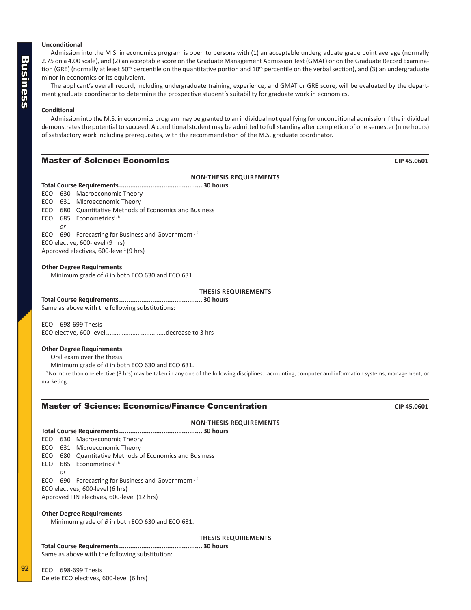#### <span id="page-21-0"></span>**Unconditional**

Admission into the M.S. in economics program is open to persons with (1) an acceptable undergraduate grade point average (normally 2.75 on a 4.00 scale), and (2) an acceptable score on the Graduate Management Admission Test (GMAT) or on the Graduate Record Examination (GRE) (normally at least 50<sup>th</sup> percentile on the quantitative portion and 10<sup>th</sup> percentile on the verbal section), and (3) an undergraduate minor in economics or its equivalent.

The applicant's overall record, including undergraduate training, experience, and GMAT or GRE score, will be evaluated by the department graduate coordinator to determine the prospective student's suitability for graduate work in economics.

#### **Conditional**

Admission into the M.S. in economics program may be granted to an individual not qualifying for unconditional admission if the individual demonstrates the potential to succeed. A conditional student may be admitted to full standing after completion of one semester (nine hours) of satisfactory work including prerequisites, with the recommendation of the M.S. graduate coordinator.

#### **Master of Science: Economics CIP 45.0601 CIP 45.0601**

#### **NON-THESIS REQUIREMENTS**

|    | ECO 630 Macroeconomic Theory                           |
|----|--------------------------------------------------------|
|    | ECO 631 Microeconomic Theory                           |
|    | ECO 680 Quantitative Methods of Economics and Business |
|    | ECO 685 Econometrics <sup>L, R</sup>                   |
| or |                                                        |
|    | ECO 690 Forecasting for Business and Government $k1$ R |
|    |                                                        |

ECO elective, 600-level (9 hrs) Approved electives, 600-level<sup>1</sup> (9 hrs)

#### **Other Degree Requirements**

Minimum grade of *B* in both ECO 630 and ECO 631.

#### **THESIS REQUIREMENTS**

**Total Course Requirements............................................. 30 hours**

Same as above with the following substitutions:

ECO 698-699 Thesis

ECO elective, 600-level..................................decrease to 3 hrs

#### **Other Degree Requirements**

Oral exam over the thesis.

Minimum grade of *B* in both ECO 630 and ECO 631.

<sup>1</sup> No more than one elective (3 hrs) may be taken in any one of the following disciplines: accounting, computer and information systems, management, or marketing.

#### **Master of Science: Economics/Finance Concentration CIP 45.0601** CIP 45.0601

#### **NON-THESIS REQUIREMENTS**

#### **Total Course Requirements............................................. 30 hours**

ECO 630 Macroeconomic Theory

- ECO 631 Microeconomic Theory
- ECO 680 Quantitative Methods of Economics and Business
- ECO  $685$  Econometrics<sup>L, R</sup>

*or*

ECO 690 Forecasting for Business and Government $L, R$ ECO electives, 600-level (6 hrs) Approved FIN electives, 600-level (12 hrs)

#### **Other Degree Requirements**

Minimum grade of *B* in both ECO 630 and ECO 631.

**THESIS REQUIREMENTS**

**Total Course Requirements............................................. 30 hours** Same as above with the following substitution:

ECO 698-699 Thesis Delete ECO electives, 600-level (6 hrs)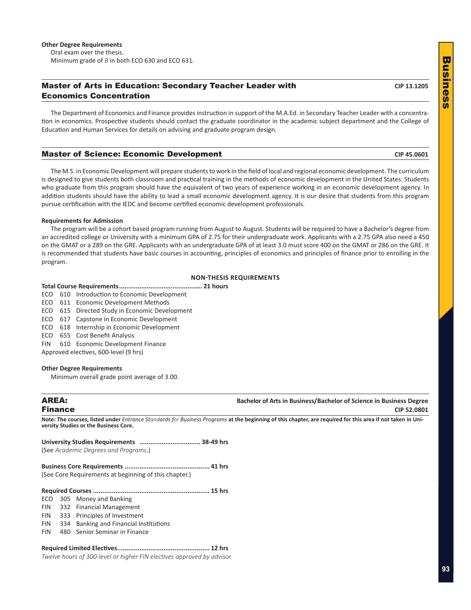#### <span id="page-22-0"></span>**Master of Arts in Education: Secondary Teacher Leader with CIP 13.1205** CIP 13.1205 Economics Concentration

The Department of Economics and Finance provides instruction in support of the M.A.Ed. in Secondary Teacher Leader with a concentration in economics. Prospective students should contact the graduate coordinator in the academic subject department and the College of Education and Human Services for details on advising and graduate program design.

#### Master of Science: Economic Development **CIP 45.0601**

The M.S. in Economic Development will prepare students to work in the field of local and regional economic development. The curriculum is designed to give students both classroom and practical training in the methods of economic development in the United States. Students who graduate from this program should have the equivalent of two years of experience working in an economic development agency. In addition students should have the ability to lead a small economic development agency. It is our desire that students from this program pursue certification with the IEDC and become certified economic development professionals.

#### **Requirements for Admission**

The program will be a cohort based program running from August to August. Students will be required to have a Bachelor's degree from an accredited college or University with a minimum GPA of 2.75 for their undergraduate work. Applicants with a 2.75 GPA also need a 450 on the GMAT or a 289 on the GRE. Applicants with an undergraduate GPA of at least 3.0 must score 400 on the GMAT or 286 on the GRE. It is recommended that students have basic courses in accounting, principles of economics and principles of finance prior to enrolling in the program.

#### **NON-THESIS REQUIREMENTS**

**Total Course Requirements............................................. 21 hours**

- ECO 610 Introduction to Economic Development
- ECO 611 Economic Development Methods
- ECO 615 Directed Study in Economic Development
- ECO 617 Capstone in Economic Development
- ECO 618 Internship in Economic Development
- ECO 655 Cost Benefit Analysis
- FIN 610 Economic Development Finance
- Approved electives, 600-level (9 hrs)

#### **Other Degree Requirements**

Minimum overall grade point average of 3.00.

**AREA: Bachelor of Arts in Business/Bachelor of Science in Business Degree** Finance **CIP 52.0801**

**Note: The courses, listed under** *Entrance Standards for Business Programs* **at the beginning of this chapter, are required for this area if not taken in University Studies or the Business Core.**

| (See Academic Dearees and Proarams.)                  |  |
|-------------------------------------------------------|--|
| (See Core Requirements at beginning of this chapter.) |  |

**University Studies Requirements ................................. 38-49 hrs**

#### **Required Courses ............................................................... 15 hrs**

ECO 305 Money and Banking

- FIN 332 Financial Management
- FIN 333 Principles of Investment
- FIN 334 Banking and Financial Institutions
- FIN 480 Senior Seminar in Finance

### **Required Limited Electives.................................................. 12 hrs**

*Twelve hours of 300-level or higher FIN electives approved by advisor.*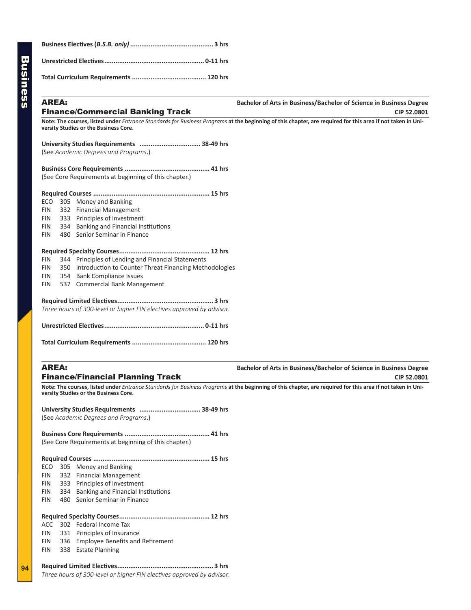| <b>Finance/Commercial Banking Track</b> | CIP 52,0801                                                         |
|-----------------------------------------|---------------------------------------------------------------------|
| AREA:                                   | Bachelor of Arts in Business/Bachelor of Science in Business Degree |
|                                         |                                                                     |
|                                         |                                                                     |
|                                         |                                                                     |

## **Bachelor of Arts in Business/Bachelor of Science in Business Degree**

**Note: The courses, listed under** *Entrance Standards for Business Programs* **at the beginning of this chapter, are required for this area if not taken in University Studies or the Business Core.**

**University Studies Requirements ................................. 38-49 hrs** (See *Academic Degrees and Programs*.)

**Business Core Requirements .............................................. 41 hrs** (See Core Requirements at beginning of this chapter.)

|  | ECO 305 Money and Banking    |
|--|------------------------------|
|  | FIN 332 Financial Management |

- FIN 333 Principles of Investment
- FIN 334 Banking and Financial Institutions
- FIN 480 Senior Seminar in Finance

#### **Required Specialty Courses................................................. 12 hrs**

- FIN 344 Principles of Lending and Financial Statements
- FIN 350 Introduction to Counter Threat Financing Methodologies
- FIN 354 Bank Compliance Issues
- FIN 537 Commercial Bank Management

**Required Limited Electives.................................................... 3 hrs** *Three hours of 300-level or higher FIN electives approved by advisor.*

**Total Curriculum Requirements ........................................ 120 hrs**

**AREA: Bachelor of Arts in Business/Bachelor of Science in Business Degree Finance/Financial Planning Track** CIP 52.0801

**Note: The courses, listed under** *Entrance Standards for Business Programs* **at the beginning of this chapter, are required for this area if not taken in University Studies or the Business Core.**

**University Studies Requirements ................................. 38-49 hrs** (See *Academic Degrees and Programs*.)

**Business Core Requirements .............................................. 41 hrs** (See Core Requirements at beginning of this chapter.)

| ECO        | 305 | Money and Banking                      |  |
|------------|-----|----------------------------------------|--|
| <b>FIN</b> |     | 332 Financial Management               |  |
| <b>FIN</b> |     | 333 Principles of Investment           |  |
| FIN        |     | 334 Banking and Financial Institutions |  |
| <b>FIN</b> | 480 | Senior Seminar in Finance              |  |
|            |     |                                        |  |
|            |     |                                        |  |
| ACC.       |     | 302 Federal Income Tax                 |  |
| FIN        |     | 331 Principles of Insurance            |  |
| FIN        |     | 336 Employee Benefits and Retirement   |  |
| FIN        |     | 338 Estate Planning                    |  |
|            |     |                                        |  |
|            |     |                                        |  |
|            |     |                                        |  |

*Three hours of 300-level or higher FIN electives approved by advisor.*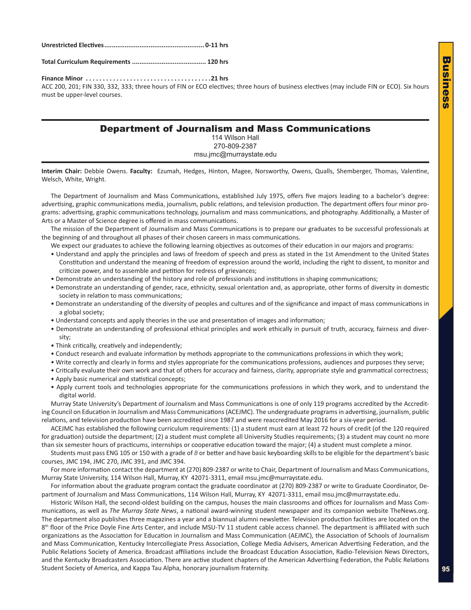#### <span id="page-24-0"></span>**Unrestricted Electives...................................................... 0-11 hrs**

**Total Curriculum Requirements ........................................ 120 hrs**

**Finance Minor . 21 hrs**

ACC 200, 201; FIN 330, 332, 333; three hours of FIN or ECO electives; three hours of business electives (may include FIN or ECO). Six hours must be upper-level courses.

### Department of Journalism and Mass Communications

114 Wilson Hall 270-809-2387 msu.jmc@murraystate.edu

**Interim Chair:** Debbie Owens. **Faculty:** Ezumah, Hedges, Hinton, Magee, Norsworthy, Owens, Qualls, Shemberger, Thomas, Valentine, Welsch, White, Wright.

The Department of Journalism and Mass Communications, established July 1975, offers five majors leading to a bachelor's degree: advertising, graphic communications media, journalism, public relations, and television production. The department offers four minor programs: advertising, graphic communications technology, journalism and mass communications, and photography. Additionally, a Master of Arts or a Master of Science degree is offered in mass communications.

The mission of the Department of Journalism and Mass Communications is to prepare our graduates to be successful professionals at the beginning of and throughout all phases of their chosen careers in mass communications.

We expect our graduates to achieve the following learning objectives as outcomes of their education in our majors and programs:

- Understand and apply the principles and laws of freedom of speech and press as stated in the 1st Amendment to the United States Constitution and understand the meaning of freedom of expression around the world, including the right to dissent, to monitor and criticize power, and to assemble and petition for redress of grievances;
- Demonstrate an understanding of the history and role of professionals and institutions in shaping communications;
- Demonstrate an understanding of gender, race, ethnicity, sexual orientation and, as appropriate, other forms of diversity in domestic society in relation to mass communications;
- Demonstrate an understanding of the diversity of peoples and cultures and of the significance and impact of mass communications in a global society;
- Understand concepts and apply theories in the use and presentation of images and information;
- Demonstrate an understanding of professional ethical principles and work ethically in pursuit of truth, accuracy, fairness and diversity;
- Think critically, creatively and independently;
- Conduct research and evaluate information by methods appropriate to the communications professions in which they work;
- Write correctly and clearly in forms and styles appropriate for the communications professions, audiences and purposes they serve;
- Critically evaluate their own work and that of others for accuracy and fairness, clarity, appropriate style and grammatical correctness;
- Apply basic numerical and statistical concepts;
- Apply current tools and technologies appropriate for the communications professions in which they work, and to understand the digital world.

Murray State University's Department of Journalism and Mass Communications is one of only 119 programs accredited by the Accrediting Council on Education in Journalism and Mass Communications (ACEJMC). The undergraduate programs in advertising, journalism, public relations, and television production have been accredited since 1987 and were reaccredited May 2016 for a six-year period.

ACEJMC has established the following curriculum requirements: (1) a student must earn at least 72 hours of credit (of the 120 required for graduation) outside the department; (2) a student must complete all University Studies requirements; (3) a student may count no more than six semester hours of practicums, internships or cooperative education toward the major; (4) a student must complete a minor.

Students must pass ENG 105 or 150 with a grade of *B* or better and have basic keyboarding skills to be eligible for the department's basic courses, JMC 194, JMC 270, JMC 391, and JMC 394.

For more information contact the department at (270) 809-2387 or write to Chair, Department of Journalism and Mass Communications, Murray State University, 114 Wilson Hall, Murray, KY 42071-3311, email msu.jmc@murraystate.edu.

For information about the graduate program contact the graduate coordinator at (270) 809-2387 or write to Graduate Coordinator, Department of Journalism and Mass Communications, 114 Wilson Hall, Murray, KY 42071-3311, email msu.jmc@murraystate.edu.

Historic Wilson Hall, the second-oldest building on the campus, houses the main classrooms and offices for Journalism and Mass Communications, as well as *The Murray State News*, a national award-winning student newspaper and its companion website TheNews.org. The department also publishes three magazines a year and a biannual alumni newsletter. Television production facilities are located on the 8<sup>th</sup> floor of the Price Doyle Fine Arts Center, and include MSU-TV 11 student cable access channel. The department is affiliated with such organizations as the Association for Education in Journalism and Mass Communication (AEJMC), the Association of Schools of Journalism and Mass Communication, Kentucky Intercollegiate Press Association, College Media Advisers, American Advertising Federation, and the Public Relations Society of America. Broadcast affiliations include the Broadcast Education Association, Radio-Television News Directors, and the Kentucky Broadcasters Association. There are active student chapters of the American Advertising Federation, the Public Relations Student Society of America, and Kappa Tau Alpha, honorary journalism fraternity.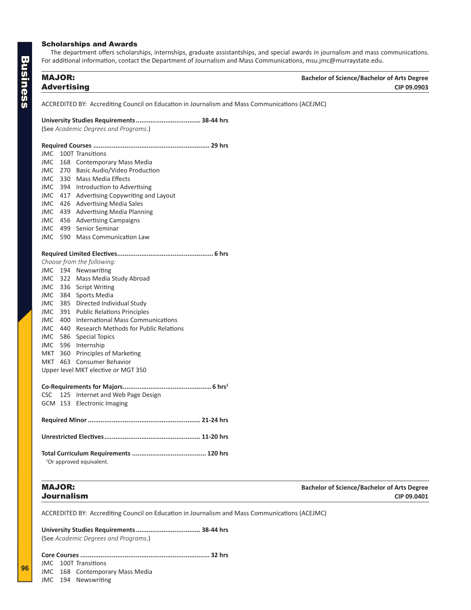#### <span id="page-25-0"></span>Scholarships and Awards

The department offers scholarships, internships, graduate assistantships, and special awards in journalism and mass communications. For additional information, contact the Department of Journalism and Mass Communications, msu.jmc@murraystate.edu.

| <b>MAJOR:</b>      | <b>Bachelor of Science/Bachelor of Arts Degree</b> |
|--------------------|----------------------------------------------------|
| <b>Advertising</b> | CIP 09.0903                                        |

ACCREDITED BY: Accrediting Council on Education in Journalism and Mass Communications (ACEJMC)

#### **University Studies Requirements................................... 38-44 hrs**

(See *Academic Degrees and Programs*.)

| <b>JMC</b> |     | 100T Transitions                      |
|------------|-----|---------------------------------------|
| <b>JMC</b> | 168 | <b>Contemporary Mass Media</b>        |
| JMC        | 270 | Basic Audio/Video Production          |
| JMC.       | 330 | <b>Mass Media Effects</b>             |
| JMC.       |     | 394 Introduction to Advertising       |
| JMC        | 417 | Advertising Copywriting and Layout    |
| JMC        | 426 | <b>Advertising Media Sales</b>        |
| JMC.       | 439 | <b>Advertising Media Planning</b>     |
| JMC 456    |     | <b>Advertising Campaigns</b>          |
| JMC        | 499 | Senior Seminar                        |
| JMC.       | 590 | <b>Mass Communication Law</b>         |
|            |     |                                       |
|            |     | Choose from the following:            |
| JMC.       |     | 194 Newswriting                       |
| JMC.       |     | 322 Mass Media Study Abroad           |
|            |     | JMC 336 Script Writing                |
| JMC        |     | 384 Sports Media                      |
| JMC        | 385 | Directed Individual Study             |
| JMC.       | 391 | <b>Public Relations Principles</b>    |
| JMC        | 400 | International Mass Communications     |
| JMC        | 440 | Research Methods for Public Relations |
| JMC 586    |     | <b>Special Topics</b>                 |
|            |     | JMC 596 Internship                    |
|            |     | MKT 360 Principles of Marketing       |
|            |     | MKT 463 Consumer Behavior             |
|            |     | Upper level MKT elective or MGT 350   |
|            |     |                                       |
| <b>CSC</b> | 125 | Internet and Web Page Design          |
| GCM        | 153 | <b>Electronic Imaging</b>             |
|            |     |                                       |
|            |     |                                       |
|            |     | <sup>1</sup> Or approved equivalent.  |

MAJOR: **Bachelor of Science/Bachelor of Arts Degree** Journalism **CIP 09.0401**

ACCREDITED BY: Accrediting Council on Education in Journalism and Mass Communications (ACEJMC)

**University Studies Requirements................................... 38-44 hrs** (See *Academic Degrees and Programs*.)

**Core Courses ...................................................................... 32 hrs** JMC 100T Transitions JMC 168 Contemporary Mass Media

JMC 194 Newswriting

**96**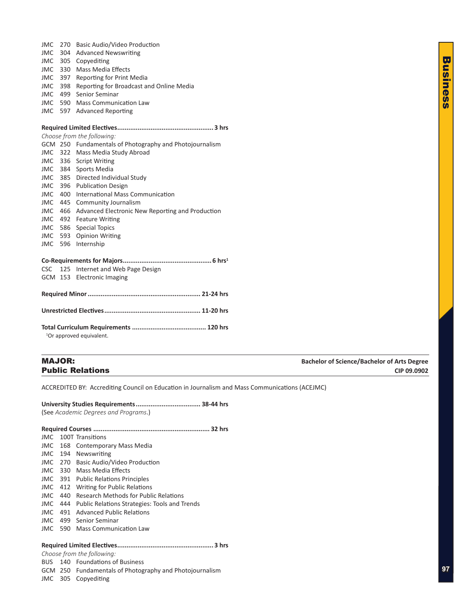| <b>JMC</b><br>305<br>Copyediting<br>Mass Media Effects<br>330<br>JMC<br><b>Reporting for Print Media</b><br>JMC<br>397<br>Reporting for Broadcast and Online Media<br><b>JMC</b><br>398<br>Senior Seminar<br>499<br>JMC<br><b>Mass Communication Law</b><br>JMC<br>590 |
|------------------------------------------------------------------------------------------------------------------------------------------------------------------------------------------------------------------------------------------------------------------------|
|                                                                                                                                                                                                                                                                        |
|                                                                                                                                                                                                                                                                        |
|                                                                                                                                                                                                                                                                        |
|                                                                                                                                                                                                                                                                        |
|                                                                                                                                                                                                                                                                        |
|                                                                                                                                                                                                                                                                        |
| 597<br><b>Advanced Reporting</b><br>JMC                                                                                                                                                                                                                                |
|                                                                                                                                                                                                                                                                        |
|                                                                                                                                                                                                                                                                        |
| Choose from the following:                                                                                                                                                                                                                                             |
| GCM 250 Fundamentals of Photography and Photojournalism                                                                                                                                                                                                                |
| 322 Mass Media Study Abroad<br>JMC.                                                                                                                                                                                                                                    |
| <b>JMC</b><br>336 Script Writing                                                                                                                                                                                                                                       |
| 384 Sports Media<br>JMC                                                                                                                                                                                                                                                |
| 385 Directed Individual Study<br><b>JMC</b>                                                                                                                                                                                                                            |
| 396<br><b>Publication Design</b><br>JMC                                                                                                                                                                                                                                |
| International Mass Communication<br>JMC<br>400                                                                                                                                                                                                                         |
| JMC<br>445<br>Community Journalism                                                                                                                                                                                                                                     |
| 466<br>Advanced Electronic New Reporting and Production<br>JMC                                                                                                                                                                                                         |
| 492<br><b>Feature Writing</b><br>JMC                                                                                                                                                                                                                                   |
| 586<br><b>Special Topics</b><br><b>JMC</b>                                                                                                                                                                                                                             |
| <b>Opinion Writing</b><br>593<br>JMC                                                                                                                                                                                                                                   |
| Internship<br><b>JMC</b><br>596                                                                                                                                                                                                                                        |
|                                                                                                                                                                                                                                                                        |
| <b>CSC</b><br>125 Internet and Web Page Design                                                                                                                                                                                                                         |
| GCM 153 Electronic Imaging                                                                                                                                                                                                                                             |
|                                                                                                                                                                                                                                                                        |
|                                                                                                                                                                                                                                                                        |
|                                                                                                                                                                                                                                                                        |
|                                                                                                                                                                                                                                                                        |
| <sup>1</sup> Or approved equivalent.                                                                                                                                                                                                                                   |

<span id="page-26-0"></span>JMC 270 Basic Audio/Video Production

MAJOR: **Bachelor of Science/Bachelor of Arts Degree Public Relations CIP 09.0902** 

ACCREDITED BY: Accrediting Council on Education in Journalism and Mass Communications (ACEJMC)

**University Studies Requirements................................... 38-44 hrs** (See *Academic Degrees and Programs*.)

| JMC.  |     | 100T Transitions                                     |  |
|-------|-----|------------------------------------------------------|--|
| JMC   | 168 | <b>Contemporary Mass Media</b>                       |  |
| JMC.  | 194 | Newswriting                                          |  |
| JMC   | 270 | Basic Audio/Video Production                         |  |
| JMC.  | 330 | Mass Media Effects                                   |  |
| JMC.  | 391 | <b>Public Relations Principles</b>                   |  |
| JMC.  | 412 | <b>Writing for Public Relations</b>                  |  |
| JMC.  | 440 | Research Methods for Public Relations                |  |
| JMC.  | 444 | <b>Public Relations Strategies: Tools and Trends</b> |  |
| JMC.  | 491 | <b>Advanced Public Relations</b>                     |  |
| JMC.  | 499 | Senior Seminar                                       |  |
| JMC.  | 590 | <b>Mass Communication Law</b>                        |  |
|       |     |                                                      |  |
| 3 hrs |     |                                                      |  |

*Choose from the following:*

BUS 140 Foundations of Business GCM 250 Fundamentals of Photography and Photojournalism

JMC 305 Copyediting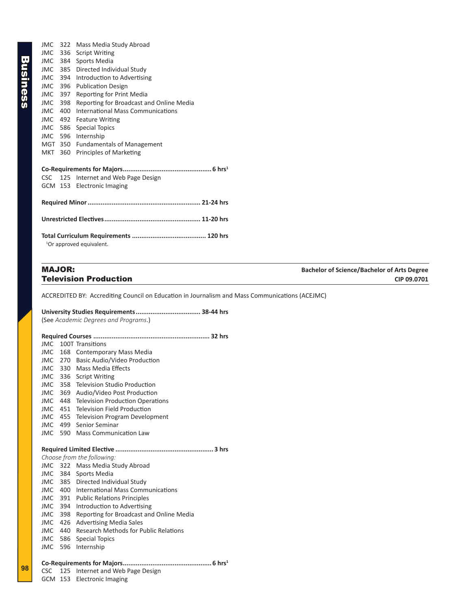<span id="page-27-0"></span>

| <b>JMC</b> |     | 322 Mass Media Study Abroad              |  |  |
|------------|-----|------------------------------------------|--|--|
| <b>JMC</b> | 336 | <b>Script Writing</b>                    |  |  |
|            |     | JMC 384 Sports Media                     |  |  |
| JMC        |     | 385 Directed Individual Study            |  |  |
| JMC 394    |     | Introduction to Advertising              |  |  |
| JMC        | 396 | <b>Publication Design</b>                |  |  |
| JMC 397    |     | Reporting for Print Media                |  |  |
| JMC        | 398 | Reporting for Broadcast and Online Media |  |  |
| JMC 400    |     | International Mass Communications        |  |  |
|            |     | JMC 492 Feature Writing                  |  |  |
|            |     | JMC 586 Special Topics                   |  |  |
|            |     | JMC 596 Internship                       |  |  |
|            |     | MGT 350 Fundamentals of Management       |  |  |
| MKT        | 360 | Principles of Marketing                  |  |  |
|            |     |                                          |  |  |
|            |     |                                          |  |  |
|            |     | CSC 125 Internet and Web Page Design     |  |  |
|            |     | GCM 153 Electronic Imaging               |  |  |
|            |     |                                          |  |  |
|            |     |                                          |  |  |
|            |     |                                          |  |  |
|            |     |                                          |  |  |
|            |     |                                          |  |  |
|            |     |                                          |  |  |
|            |     | <sup>1</sup> Or approved equivalent.     |  |  |

ACCREDITED BY: Accrediting Council on Education in Journalism and Mass Communications (ACEJMC)

#### **University Studies Requirements................................... 38-44 hrs**

(See *Academic Degrees and Programs*.)

| <b>JMC</b> |     | 100T Transitions                         |
|------------|-----|------------------------------------------|
| <b>JMC</b> | 168 | <b>Contemporary Mass Media</b>           |
| JMC.       | 270 | Basic Audio/Video Production             |
|            |     | JMC 330 Mass Media Effects               |
| <b>JMC</b> |     | 336 Script Writing                       |
| <b>JMC</b> | 358 | <b>Television Studio Production</b>      |
| JMC        | 369 | Audio/Video Post Production              |
| <b>JMC</b> | 448 | <b>Television Production Operations</b>  |
| <b>JMC</b> | 451 | Television Field Production              |
| <b>JMC</b> | 455 | <b>Television Program Development</b>    |
| <b>JMC</b> | 499 | Senior Seminar                           |
| <b>JMC</b> | 590 | <b>Mass Communication Law</b>            |
|            |     |                                          |
|            |     |                                          |
|            |     | Choose from the following:               |
|            |     | JMC 322 Mass Media Study Abroad          |
|            |     | JMC 384 Sports Media                     |
| JMC        | 385 | Directed Individual Study                |
| <b>JMC</b> | 400 | International Mass Communications        |
| <b>JMC</b> | 391 | <b>Public Relations Principles</b>       |
| <b>JMC</b> | 394 | Introduction to Advertising              |
| <b>JMC</b> | 398 | Reporting for Broadcast and Online Media |
| <b>JMC</b> | 426 | <b>Advertising Media Sales</b>           |
| <b>JMC</b> | 440 | Research Methods for Public Relations    |
| <b>JMC</b> | 586 | <b>Special Topics</b>                    |
| <b>JMC</b> | 596 | Internship                               |
|            |     |                                          |

CSC 125 Internet and Web Page Design

GCM 153 Electronic Imaging

**98**

MAJOR: **Bachelor of Science/Bachelor of Arts Degree Television Production CIP 09.0701**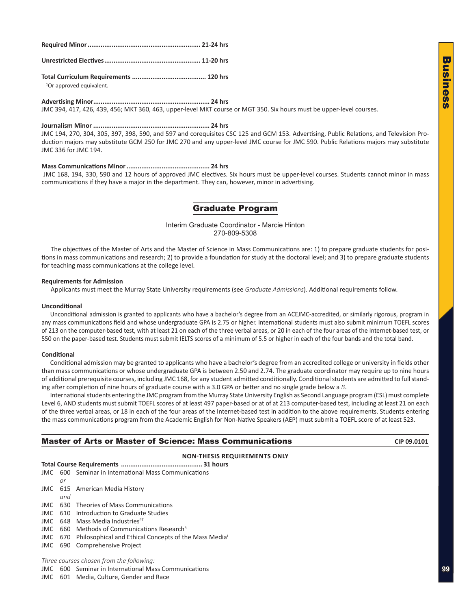<span id="page-28-0"></span>

**Total Curriculum Requirements ........................................ 120 hrs** <sup>1</sup>Or approved equivalent.

**Advertising Minor............................................................... 24 hrs** JMC 394, 417, 426, 439, 456; MKT 360, 463, upper-level MKT course or MGT 350. Six hours must be upper-level courses.

#### **Journalism Minor ............................................................... 24 hrs**

JMC 194, 270, 304, 305, 397, 398, 590, and 597 and corequisites CSC 125 and GCM 153. Advertising, Public Relations, and Television Production majors may substitute GCM 250 for JMC 270 and any upper-level JMC course for JMC 590. Public Relations majors may substitute JMC 336 for JMC 194.

#### **Mass Communications Minor............................................. 24 hrs**

JMC 168, 194, 330, 590 and 12 hours of approved JMC electives. Six hours must be upper-level courses. Students cannot minor in mass communications if they have a major in the department. They can, however, minor in advertising.

### Graduate Program

Interim Graduate Coordinator - Marcie Hinton 270-809-5308

The objectives of the Master of Arts and the Master of Science in Mass Communications are: 1) to prepare graduate students for positions in mass communications and research; 2) to provide a foundation for study at the doctoral level; and 3) to prepare graduate students for teaching mass communications at the college level.

#### **Requirements for Admission**

Applicants must meet the Murray State University requirements (see *Graduate Admissions*). Additional requirements follow.

#### **Unconditional**

Unconditional admission is granted to applicants who have a bachelor's degree from an ACEJMC-accredited, or similarly rigorous, program in any mass communications field and whose undergraduate GPA is 2.75 or higher. International students must also submit minimum TOEFL scores of 213 on the computer-based test, with at least 21 on each of the three verbal areas, or 20 in each of the four areas of the Internet-based test, or 550 on the paper-based test. Students must submit IELTS scores of a minimum of 5.5 or higher in each of the four bands and the total band.

#### **Conditional**

Conditional admission may be granted to applicants who have a bachelor's degree from an accredited college or university in fields other than mass communications or whose undergraduate GPA is between 2.50 and 2.74. The graduate coordinator may require up to nine hours of additional prerequisite courses, including JMC 168, for any student admitted conditionally. Conditional students are admitted to full standing after completion of nine hours of graduate course with a 3.0 GPA or better and no single grade below a *B*.

International students entering the JMC program from the Murray State University English as Second Language program (ESL) must complete Level 6, AND students must submit TOEFL scores of at least 497 paper-based or at of at 213 computer-based test, including at least 21 on each of the three verbal areas, or 18 in each of the four areas of the Internet-based test in addition to the above requirements. Students entering the mass communications program from the Academic English for Non-Native Speakers (AEP) must submit a TOEFL score of at least 523.

#### **Master of Arts or Master of Science: Mass Communications CIP 09.0101** CIP 09.0101

#### **NON-THESIS REQUIREMENTS ONLY**

**Total Course Requirements ............................................ 31 hours**

- JMC 600 Seminar in International Mass Communications
- *or*
- JMC 615 American Media History *and*
- JMC 630 Theories of Mass Communications
- JMC 610 Introduction to Graduate Studies
- JMC 648 Mass Media Industries<sup>PT</sup>
- JMC  $660$  Methods of Communications Research<sup>R</sup>
- JMC 670 Philosophical and Ethical Concepts of the Mass Media<sup>L</sup>
- JMC 690 Comprehensive Project

*Three courses chosen from the following:*

JMC 600 Seminar in International Mass Communications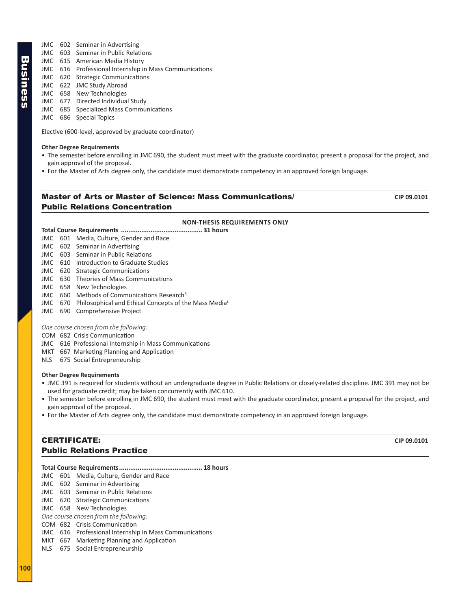- <span id="page-29-0"></span>JMC 602 Seminar in Advertising
- JMC 603 Seminar in Public Relations
- JMC 615 American Media History
- JMC 616 Professional Internship in Mass Communications
- JMC 620 Strategic Communications
- JMC 622 JMC Study Abroad
- JMC 658 New Technologies
- JMC 677 Directed Individual Study
- JMC 685 Specialized Mass Communications
- JMC 686 Special Topics

Elective (600-level, approved by graduate coordinator)

### **Other Degree Requirements**

- The semester before enrolling in JMC 690, the student must meet with the graduate coordinator, present a proposal for the project, and gain approval of the proposal.
- For the Master of Arts degree only, the candidate must demonstrate competency in an approved foreign language.

### Master of Arts or Master of Science: Mass Communications/ **CIP 09.0101** Public Relations Concentration

#### **NON-THESIS REQUIREMENTS ONLY**

#### **Total Course Requirements ............................................ 31 hours**

- JMC 601 Media, Culture, Gender and Race
- JMC 602 Seminar in Advertising
- JMC 603 Seminar in Public Relations
- JMC 610 Introduction to Graduate Studies
- JMC 620 Strategic Communications
- JMC 630 Theories of Mass Communications
- JMC 658 New Technologies
- JMC  $660$  Methods of Communications Research<sup>R</sup>
- JMC 670 Philosophical and Ethical Concepts of the Mass Media<sup>L</sup>
- JMC 690 Comprehensive Project

#### *One course chosen from the following:*

- COM 682 Crisis Communication
- JMC 616 Professional Internship in Mass Communications
- MKT 667 Marketing Planning and Application
- NLS 675 Social Entrepreneurship

#### **Other Degree Requirements**

- JMC 391 is required for students without an undergraduate degree in Public Relations or closely-related discipline. JMC 391 may not be used for graduate credit; may be taken concurrently with JMC 610.
- The semester before enrolling in JMC 690, the student must meet with the graduate coordinator, present a proposal for the project, and gain approval of the proposal.
- For the Master of Arts degree only, the candidate must demonstrate competency in an approved foreign language.

### **CERTIFICATE:** CIP 09.0101 Public Relations Practice

|  | JMC 601 Media, Culture, Gender and Race                |  |
|--|--------------------------------------------------------|--|
|  | JMC 602 Seminar in Advertising                         |  |
|  | JMC 603 Seminar in Public Relations                    |  |
|  | JMC 620 Strategic Communications                       |  |
|  | JMC 658 New Technologies                               |  |
|  | One course chosen from the following:                  |  |
|  | COM 682 Crisis Communication                           |  |
|  | JMC 616 Professional Internship in Mass Communications |  |
|  | MKT 667 Marketing Planning and Application             |  |
|  | NLS 675 Social Entrepreneurship                        |  |
|  |                                                        |  |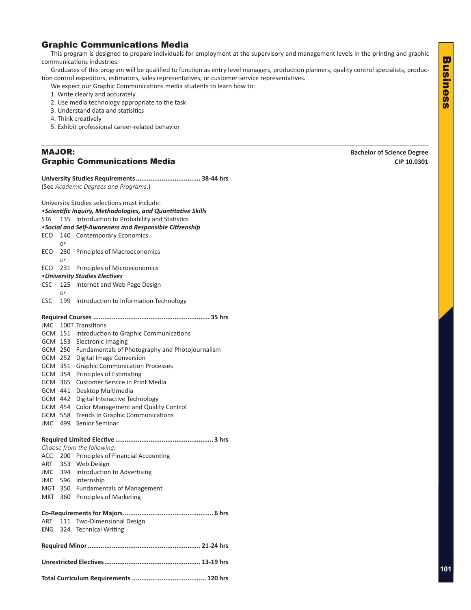### <span id="page-30-0"></span>Graphic Communications Media

This program is designed to prepare individuals for employment at the supervisory and management levels in the printing and graphic communications industries.

Graduates of this program will be qualified to function as entry level managers, production planners, quality control specialists, production control expeditors, estimators, sales representatives, or customer service representatives.

- We expect our Graphic Communications media students to learn how to:
- 1. Write clearly and accurately
- 2. Use media technology appropriate to the task
- 3. Understand data and statisitics
- 4. Think creatively
- 5. Exhibit professional career-related behavior

### MAJOR: **Bachelor of Science Degree Graphic Communications Media**  CIP 10.0301

| (See Academic Degrees and Programs.) |         |                                                              |  |  |
|--------------------------------------|---------|--------------------------------------------------------------|--|--|
|                                      |         | University Studies selections must include:                  |  |  |
|                                      |         | • Scientific Inquiry, Methodologies, and Quantitative Skills |  |  |
| STA                                  | 135     | Introduction to Probability and Statistics                   |  |  |
|                                      |         | •Social and Self-Awareness and Responsible Citizenship       |  |  |
| ECO                                  |         | 140 Contemporary Economics                                   |  |  |
|                                      | or      |                                                              |  |  |
| ECO                                  |         | 230 Principles of Macroeconomics                             |  |  |
|                                      | or      |                                                              |  |  |
| ECO                                  | 231     | Principles of Microeconomics                                 |  |  |
|                                      |         | • University Studies Electives                               |  |  |
| <b>CSC</b>                           | 125     | Internet and Web Page Design                                 |  |  |
|                                      | or      |                                                              |  |  |
| CSC.                                 | 199     | Introduction to Information Technology                       |  |  |
|                                      |         |                                                              |  |  |
|                                      |         | JMC 100T Transitions                                         |  |  |
|                                      |         | GCM 151 Introduction to Graphic Communications               |  |  |
|                                      |         | GCM 153 Electronic Imaging                                   |  |  |
|                                      |         | GCM 250 Fundamentals of Photography and Photojournalism      |  |  |
|                                      |         | GCM 252 Digital Image Conversion                             |  |  |
|                                      | GCM 351 | <b>Graphic Communication Processes</b>                       |  |  |
|                                      |         | GCM 354 Principles of Estimating                             |  |  |
|                                      | GCM 365 | <b>Customer Service in Print Media</b>                       |  |  |
|                                      | GCM 441 | Desktop Multimedia                                           |  |  |
|                                      | GCM 442 | Digital Interactive Technology                               |  |  |
|                                      | GCM 454 | <b>Color Management and Quality Control</b>                  |  |  |
|                                      |         | GCM 558 Trends in Graphic Communications                     |  |  |
| JMC 499                              |         | Senior Seminar                                               |  |  |
|                                      |         |                                                              |  |  |
|                                      |         | Choose from the following:                                   |  |  |
|                                      |         | ACC 200 Principles of Financial Accounting                   |  |  |
|                                      |         | ART 353 Web Design                                           |  |  |
|                                      |         | JMC 394 Introduction to Advertising                          |  |  |
|                                      |         | JMC 596 Internship                                           |  |  |
|                                      |         | MGT 350 Fundamentals of Management                           |  |  |
| MKT                                  |         | 360 Principles of Marketing                                  |  |  |
|                                      |         |                                                              |  |  |
|                                      |         |                                                              |  |  |
|                                      |         | ART 111 Two-Dimensional Design                               |  |  |
|                                      |         | ENG 324 Technical Writing                                    |  |  |
|                                      |         |                                                              |  |  |
|                                      |         |                                                              |  |  |
|                                      |         |                                                              |  |  |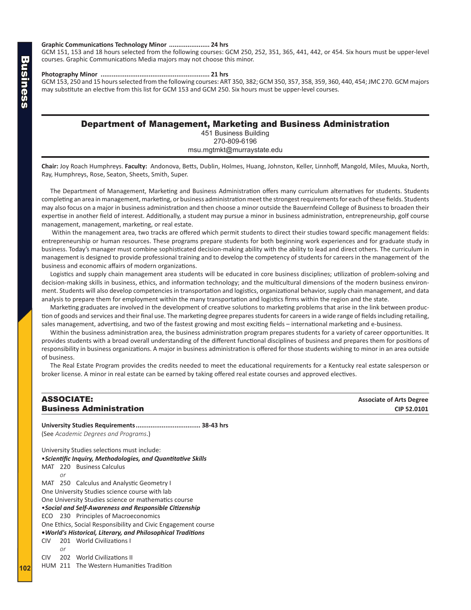#### <span id="page-31-0"></span>**Graphic Communications Technology Minor ...................... 24 hrs**

GCM 151, 153 and 18 hours selected from the following courses: GCM 250, 252, 351, 365, 441, 442, or 454. Six hours must be upper-level courses. Graphic Communications Media majors may not choose this minor.

**Photography Minor ........................................................... 21 hrs**

GCM 153, 250 and 15 hours selected from the following courses: ART 350, 382; GCM 350, 357, 358, 359, 360, 440, 454; JMC 270. GCM majors may substitute an elective from this list for GCM 153 and GCM 250. Six hours must be upper-level courses.

#### Department of Management, Marketing and Business Administration

451 Business Building 270-809-6196 msu.mgtmkt@murraystate.edu

**Chair:** Joy Roach Humphreys. **Faculty:** Andonova, Betts, Dublin, Holmes, Huang, Johnston, Keller, Linnhoff, Mangold, Miles, Muuka, North, Ray, Humphreys, Rose, Seaton, Sheets, Smith, Super.

The Department of Management, Marketing and Business Administration offers many curriculum alternatives for students. Students completing an area in management, marketing, or business administration meet the strongest requirements for each of these fields. Students may also focus on a major in business administration and then choose a minor outside the Bauernfeind College of Business to broaden their expertise in another field of interest. Additionally, a student may pursue a minor in business administration, entrepreneurship, golf course management, management, marketing, or real estate.

 Within the management area, two tracks are offered which permit students to direct their studies toward specific management fields: entrepreneurship or human resources. These programs prepare students for both beginning work experiences and for graduate study in business. Today's manager must combine sophisticated decision-making ability with the ability to lead and direct others. The curriculum in management is designed to provide professional training and to develop the competency of students for careers in the management of the business and economic affairs of modern organizations.

Logistics and supply chain management area students will be educated in core business disciplines; utilization of problem-solving and decision-making skills in business, ethics, and information technology; and the multicultural dimensions of the modern business environment. Students will also develop competencies in transportation and logistics, organizational behavior, supply chain management, and data analysis to prepare them for employment within the many transportation and logistics firms within the region and the state.

Marketing graduates are involved in the development of creative solutions to marketing problems that arise in the link between production of goods and services and their final use. The marketing degree prepares students for careers in a wide range of fields including retailing, sales management, advertising, and two of the fastest growing and most exciting fields – international marketing and e-business.

Within the business administration area, the business administration program prepares students for a variety of career opportunities. It provides students with a broad overall understanding of the different functional disciplines of business and prepares them for positions of responsibility in business organizations. A major in business administration is offered for those students wishing to minor in an area outside of business.

The Real Estate Program provides the credits needed to meet the educational requirements for a Kentucky real estate salesperson or broker license. A minor in real estate can be earned by taking offered real estate courses and approved electives.

#### ASSOCIATE: **Associate of Arts Degree Business Administration CIP 52.0101**

**University Studies Requirements................................... 38-43 hrs** (See *Academic Degrees and Programs*.) University Studies selections must include: •*Scientific Inquiry, Methodologies, and Quantitative Skills* MAT 220 Business Calculus *or* MAT 250 Calculus and Analystic Geometry I One University Studies science course with lab One University Studies science or mathematics course •*Social and Self-Awareness and Responsible Citizenship* ECO 230 Principles of Macroeconomics One Ethics, Social Responsibility and Civic Engagement course **•***World's Historical, Literary, and Philosophical Traditions* CIV 201 World Civilizations I *or* CIV 202 World Civilizations II HUM 211 The Western Humanities Tradition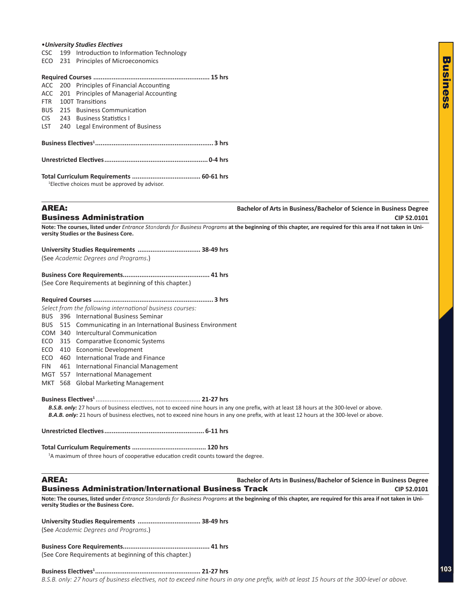#### <span id="page-32-0"></span>•*University Studies Electives*

- CSC 199 Introduction to Information Technology
- ECO 231 Principles of Microeconomics

|                  |  | ACC 200 Principles of Financial Accounting                 |  |
|------------------|--|------------------------------------------------------------|--|
|                  |  | ACC 201 Principles of Managerial Accounting                |  |
| <b>FTR</b>       |  | 100T Transitions                                           |  |
|                  |  | BUS 215 Business Communication                             |  |
| CIS <sup>-</sup> |  | 243 Business Statistics L                                  |  |
| <b>LST</b>       |  | 240 Legal Environment of Business                          |  |
|                  |  |                                                            |  |
|                  |  |                                                            |  |
|                  |  |                                                            |  |
|                  |  |                                                            |  |
|                  |  |                                                            |  |
|                  |  |                                                            |  |
|                  |  | <sup>1</sup> Elective choices must be approved by advisor. |  |
|                  |  |                                                            |  |
|                  |  |                                                            |  |

**AREA: Bachelor of Arts in Business/Bachelor of Science in Business Degree Business Administration CIP 52.0101** 

**Note: The courses, listed under** *Entrance Standards for Business Programs* **at the beginning of this chapter, are required for this area if not taken in University Studies or the Business Core.**

| (See Academic Degrees and Programs.) |  |
|--------------------------------------|--|

| (See Core Requirements at beginning of this chapter.) |  |
|-------------------------------------------------------|--|

#### **Required Courses ................................................................. 3 hrs**

*Select from the following international business courses:*

BUS 396 International Business Seminar

- BUS 515 Communicating in an International Business Environment
- COM 340 Intercultural Communication
- ECO 315 Comparative Economic Systems
- ECO 410 Economic Development
- ECO 460 International Trade and Finance
- FIN 461 International Financial Management
- MGT 557 International Management
- MKT 568 Global Marketing Management

**Business Electives1** ............................................................ **21-27 hrs**

*B.S.B. only:* 27 hours of business electives, not to exceed nine hours in any one prefix, with at least 18 hours at the 300-level or above. *B.A.B. only:* 21 hours of business electives, not to exceed nine hours in any one prefix, with at least 12 hours at the 300-level or above.

**Unrestricted Electives...................................................... 6-11 hrs** 

**Total Curriculum Requirements ........................................ 120 hrs** <sup>1</sup>A maximum of three hours of cooperative education credit counts toward the degree.

| <b>AREA:</b>                                                | Bachelor of Arts in Business/Bachelor of Science in Business Degree |             |
|-------------------------------------------------------------|---------------------------------------------------------------------|-------------|
| <b>Business Administration/International Business Track</b> |                                                                     | CIP 52.0101 |

**Note: The courses, listed under** *Entrance Standards for Business Programs* **at the beginning of this chapter, are required for this area if not taken in University Studies or the Business Core.**

**University Studies Requirements .................................. 38-49 hrs** (See *Academic Degrees and Programs*.)

**Business Core Requirements............................................... 41 hrs** (See Core Requirements at beginning of this chapter.)

**Business Electives1......................................................... 21-27 hrs**

*B.S.B. only: 27 hours of business electives, not to exceed nine hours in any one prefix, with at least 15 hours at the 300-level or above.*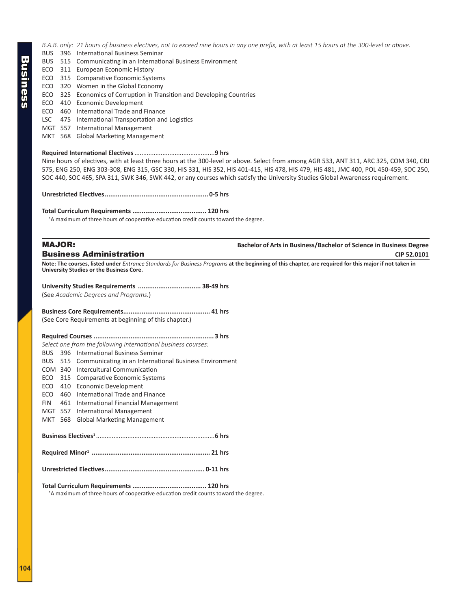*B.A.B. only: 21 hours of business electives, not to exceed nine hours in any one prefix, with at least 15 hours at the 300-level or above.*

- BUS 396 International Business Seminar
- BUS 515 Communicating in an International Business Environment
- ECO 311 European Economic History
- ECO 315 Comparative Economic Systems
- ECO 320 Women in the Global Economy
- ECO 325 Economics of Corruption in Transition and Developing Countries
- ECO 410 Economic Development
- ECO 460 International Trade and Finance
- LSC 475 International Transportation and Logistics
- MGT 557 International Management
- MKT 568 Global Marketing Management

#### **Required International Electives**..............................................**9 hrs**

Nine hours of electives, with at least three hours at the 300-level or above. Select from among AGR 533, ANT 311, ARC 325, COM 340, CRJ 575, ENG 250, ENG 303-308, ENG 315, GSC 330, HIS 331, HIS 352, HIS 401-415, HIS 478, HIS 479, HIS 481, JMC 400, POL 450-459, SOC 250, SOC 440, SOC 465, SPA 311, SWK 346, SWK 442, or any courses which satisfy the University Studies Global Awareness requirement.

**Unrestricted Electives........................................................ 0-5 hrs** 

**Total Curriculum Requirements ........................................ 120 hrs** 

<sup>1</sup>A maximum of three hours of cooperative education credit counts toward the degree.

| <b>MAJOR:</b>                                                                                                                                                                                             | Bachelor of Arts in Business/Bachelor of Science in Business Degree |
|-----------------------------------------------------------------------------------------------------------------------------------------------------------------------------------------------------------|---------------------------------------------------------------------|
| <b>Business Administration</b>                                                                                                                                                                            | CIP 52.0101                                                         |
| Note: The courses, listed under <i>Entrance Standards for Business Programs</i> at the beginning of this chapter, are required for this major if not taken in<br>University Studies or the Business Core. |                                                                     |

**University Studies Requirements .................................. 38-49 hrs** (See *Academic Degrees and Programs*.)

**Business Core Requirements............................................... 41 hrs** (See Core Requirements at beginning of this chapter.)

| Select one from the following international business courses: |     |                                                                |  |
|---------------------------------------------------------------|-----|----------------------------------------------------------------|--|
| BUS 396                                                       |     | International Business Seminar                                 |  |
|                                                               |     | BUS 515 Communicating in an International Business Environment |  |
| COM 340                                                       |     | Intercultural Communication                                    |  |
|                                                               |     | ECO 315 Comparative Economic Systems                           |  |
| ECO                                                           | 410 | Economic Development                                           |  |
| ECO                                                           | 460 | International Trade and Finance                                |  |
| FIN                                                           | 461 | International Financial Management                             |  |
| MGT 557                                                       |     | International Management                                       |  |
| MKT                                                           | 568 | <b>Global Marketing Management</b>                             |  |
|                                                               |     |                                                                |  |
|                                                               |     |                                                                |  |
|                                                               |     |                                                                |  |
|                                                               |     |                                                                |  |
|                                                               |     |                                                                |  |

<sup>1</sup>A maximum of three hours of cooperative education credit counts toward the degree.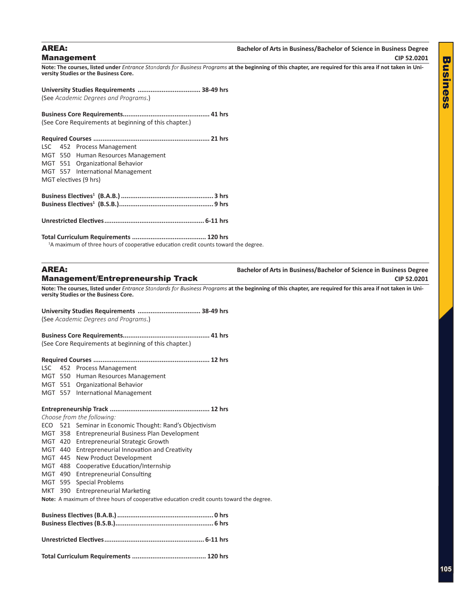#### <span id="page-34-0"></span>AREA: **Bachelor of Arts in Business/Bachelor of Science in Business Degree Management** CIP 52.0201

**Note: The courses, listed under** *Entrance Standards for Business Programs* **at the beginning of this chapter, are required for this area if not taken in University Studies or the Business Core.**

**University Studies Requirements .................................. 38-49 hrs** (See *Academic Degrees and Programs*.)

**Business Core Requirements............................................... 41 hrs** (See Core Requirements at beginning of this chapter.)

|                       |  | LSC 452 Process Management         |  |  |
|-----------------------|--|------------------------------------|--|--|
|                       |  | MGT 550 Human Resources Management |  |  |
|                       |  | MGT 551 Organizational Behavior    |  |  |
|                       |  | MGT 557 International Management   |  |  |
| MGT electives (9 hrs) |  |                                    |  |  |
|                       |  |                                    |  |  |
|                       |  |                                    |  |  |
|                       |  |                                    |  |  |
|                       |  |                                    |  |  |
|                       |  |                                    |  |  |
|                       |  |                                    |  |  |

**Total Curriculum Requirements ........................................ 120 hrs**

<sup>1</sup>A maximum of three hours of cooperative education credit counts toward the degree.

**AREA: Bachelor of Arts in Business/Bachelor of Science in Business Degree Management/Entrepreneurship Track CIP 52.0201** CIP 52.0201

**Note: The courses, listed under** *Entrance Standards for Business Programs* **at the beginning of this chapter, are required for this area if not taken in University Studies or the Business Core.**

**University Studies Requirements .................................. 38-49 hrs** (See *Academic Degrees and Programs*.) **Business Core Requirements............................................... 41 hrs** (See Core Requirements at beginning of this chapter.) **Required Courses ............................................................... 12 hrs** LSC 452 Process Management MGT 550 Human Resources Management MGT 551 Organizational Behavior MGT 557 International Management **Entrepreneurship Track ...................................................... 12 hrs** *Choose from the following:* ECO 521 Seminar in Economic Thought: Rand's Objectivism MGT 358 Entrepreneurial Business Plan Development MGT 420 Entrepreneurial Strategic Growth MGT 440 Entrepreneurial Innovation and Creativity MGT 445 New Product Development MGT 488 Cooperative Education/Internship MGT 490 Entrepreneurial Consulting MGT 595 Special Problems MKT 390 Entrepreneurial Marketing

**Note:** A maximum of three hours of cooperative education credit counts toward the degree.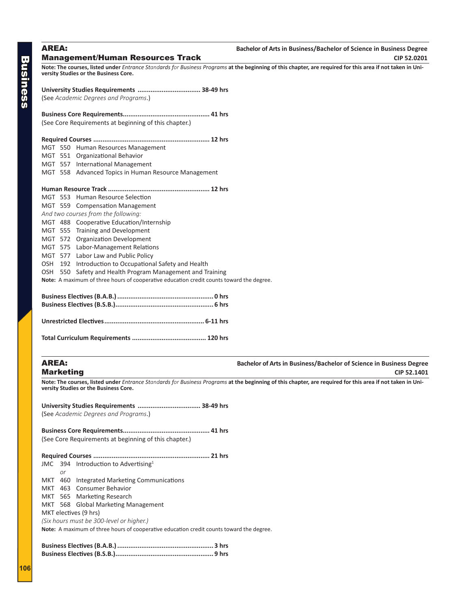<span id="page-35-0"></span>AREA: **Bachelor of Arts in Business/Bachelor of Science in Business Degree Management/Human Resources Track**  CIP 52.0201

**Note: The courses, listed under** *Entrance Standards for Business Programs* **at the beginning of this chapter, are required for this area if not taken in University Studies or the Business Core.**

**University Studies Requirements .................................. 38-49 hrs** (See *Academic Degrees and Programs*.)

**Business Core Requirements............................................... 41 hrs** (See Core Requirements at beginning of this chapter.)

**Required Courses ............................................................... 12 hrs**

- MGT 550 Human Resources Management
- MGT 551 Organizational Behavior
- MGT 557 International Management
- MGT 558 Advanced Topics in Human Resource Management

#### **Human Resource Track ....................................................... 12 hrs**

|                                     | MGT 553 Human Resource Selection                                                        |  |  |  |
|-------------------------------------|-----------------------------------------------------------------------------------------|--|--|--|
|                                     | MGT 559 Compensation Management                                                         |  |  |  |
| And two courses from the following: |                                                                                         |  |  |  |
|                                     | MGT 488 Cooperative Education/Internship                                                |  |  |  |
|                                     | MGT 555 Training and Development                                                        |  |  |  |
|                                     | MGT 572 Organization Development                                                        |  |  |  |
|                                     | MGT 575 Labor-Management Relations                                                      |  |  |  |
|                                     | MGT 577 Labor Law and Public Policy                                                     |  |  |  |
|                                     | OSH 192 Introduction to Occupational Safety and Health                                  |  |  |  |
|                                     | OSH 550 Safety and Health Program Management and Training                               |  |  |  |
|                                     | Note: A maximum of three hours of cooperative education credit counts toward the degree |  |  |  |

**Note:** A maximum of three hours of cooperative education credit counts toward the degree.

**Total Curriculum Requirements ........................................ 120 hrs**

AREA: **Bachelor of Arts in Business/Bachelor of Science in Business Degree Marketing** CIP 52.1401

**Note: The courses, listed under** *Entrance Standards for Business Programs* **at the beginning of this chapter, are required for this area if not taken in University Studies or the Business Core.**

**University Studies Requirements .................................. 38-49 hrs** (See *Academic Degrees and Programs*.)

**Business Core Requirements............................................... 41 hrs** (See Core Requirements at beginning of this chapter.)

| .21 hrs                                  |    |                                                                                          |  |  |
|------------------------------------------|----|------------------------------------------------------------------------------------------|--|--|
|                                          |    | JMC 394 Introduction to Advertising <sup>1</sup>                                         |  |  |
|                                          | or |                                                                                          |  |  |
|                                          |    | MKT 460 Integrated Marketing Communications                                              |  |  |
|                                          |    | MKT 463 Consumer Behavior                                                                |  |  |
|                                          |    | MKT 565 Marketing Research                                                               |  |  |
|                                          |    | MKT 568 Global Marketing Management                                                      |  |  |
| MKT electives (9 hrs)                    |    |                                                                                          |  |  |
| (Six hours must be 300-level or higher.) |    |                                                                                          |  |  |
|                                          |    | Note: A maximum of three hours of cooperative education credit counts toward the degree. |  |  |
|                                          |    |                                                                                          |  |  |
|                                          |    |                                                                                          |  |  |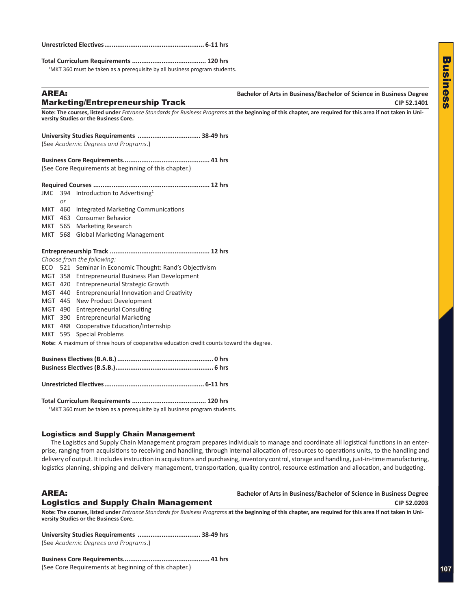<span id="page-36-0"></span>

|--|--|--|

**Total Curriculum Requirements ........................................ 120 hrs**

<sup>1</sup>MKT 360 must be taken as a prerequisite by all business program students.

#### **Bachelor of Arts in Business/Bachelor of Science in Business Degree Marketing/Entrepreneurship Track**  CIP 52.1401

**Note: The courses, listed under** *Entrance Standards for Business Programs* **at the beginning of this chapter, are required for this area if not taken in University Studies or the Business Core.**

| (See Academic Degrees and Programs.) |  |
|--------------------------------------|--|
|                                      |  |

**Business Core Requirements............................................... 41 hrs** (See Core Requirements at beginning of this chapter.)

|    | JMC 394 Introduction to Advertising <sup>1</sup> |  |
|----|--------------------------------------------------|--|
| or |                                                  |  |
|    | MKT 460 Integrated Marketing Communications      |  |
|    | MKT 463 Consumer Behavior                        |  |
|    | MKT 565 Marketing Research                       |  |
|    | MKT 568 Global Marketing Management              |  |
|    |                                                  |  |
|    |                                                  |  |
|    |                                                  |  |

#### *Choose from the following:*

|  |  | Choose from the following:                                                               |  |
|--|--|------------------------------------------------------------------------------------------|--|
|  |  | ECO 521 Seminar in Economic Thought: Rand's Objectivism                                  |  |
|  |  | MGT 358 Entrepreneurial Business Plan Development                                        |  |
|  |  | MGT 420 Entrepreneurial Strategic Growth                                                 |  |
|  |  | MGT 440 Entrepreneurial Innovation and Creativity                                        |  |
|  |  | MGT 445 New Product Development                                                          |  |
|  |  | MGT 490 Entrepreneurial Consulting                                                       |  |
|  |  | MKT 390 Entrepreneurial Marketing                                                        |  |
|  |  | MKT 488 Cooperative Education/Internship                                                 |  |
|  |  | MKT 595 Special Problems                                                                 |  |
|  |  | Note: A maximum of three hours of cooperative education credit counts toward the degree. |  |
|  |  |                                                                                          |  |
|  |  |                                                                                          |  |

**Total Curriculum Requirements ........................................ 120 hrs**

**Unrestricted Electives...................................................... 6-11 hrs** 

<sup>1</sup>MKT 360 must be taken as a prerequisite by all business program students.

#### Logistics and Supply Chain Management

The Logistics and Supply Chain Management program prepares individuals to manage and coordinate all logistical functions in an enterprise, ranging from acquisitions to receiving and handling, through internal allocation of resources to operations units, to the handling and delivery of output. It includes instruction in acquisitions and purchasing, inventory control, storage and handling, just-in-time manufacturing, logistics planning, shipping and delivery management, transportation, quality control, resource estimation and allocation, and budgeting.

### AREA: **Bachelor of Arts in Business/Bachelor of Science in Business Degree Logistics and Supply Chain Management CIP 52.0203** CIP 52.0203

**Note: The courses, listed under** *Entrance Standards for Business Programs* **at the beginning of this chapter, are required for this area if not taken in University Studies or the Business Core.**

**University Studies Requirements .................................. 38-49 hrs** (See *Academic Degrees and Programs*.)

**Business Core Requirements............................................... 41 hrs** (See Core Requirements at beginning of this chapter.)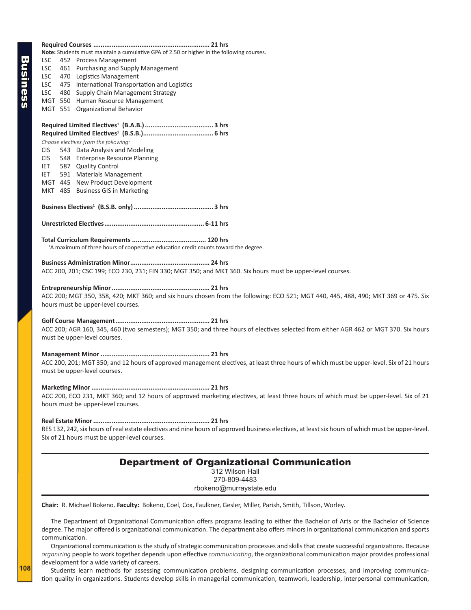| Note: Students must maintain a cumulative GPA of 2.50 or higher in the following courses.                                                        |  |  |  |  |
|--------------------------------------------------------------------------------------------------------------------------------------------------|--|--|--|--|
| LSC<br>452 Process Management                                                                                                                    |  |  |  |  |
| 461 Purchasing and Supply Management<br>LSC.                                                                                                     |  |  |  |  |
| LSC<br>470 Logistics Management                                                                                                                  |  |  |  |  |
| 475 International Transportation and Logistics<br>LSC.                                                                                           |  |  |  |  |
| 480 Supply Chain Management Strategy<br>LSC                                                                                                      |  |  |  |  |
| MGT 550 Human Resource Management                                                                                                                |  |  |  |  |
| MGT 551 Organizational Behavior                                                                                                                  |  |  |  |  |
|                                                                                                                                                  |  |  |  |  |
|                                                                                                                                                  |  |  |  |  |
|                                                                                                                                                  |  |  |  |  |
| Choose electives from the following:                                                                                                             |  |  |  |  |
| 543 Data Analysis and Modeling<br><b>CIS</b>                                                                                                     |  |  |  |  |
| 548 Enterprise Resource Planning<br><b>CIS</b>                                                                                                   |  |  |  |  |
| 587 Quality Control<br>IET.                                                                                                                      |  |  |  |  |
| 591 Materials Management<br>IET.                                                                                                                 |  |  |  |  |
| MGT 445 New Product Development                                                                                                                  |  |  |  |  |
| MKT 485 Business GIS in Marketing                                                                                                                |  |  |  |  |
|                                                                                                                                                  |  |  |  |  |
|                                                                                                                                                  |  |  |  |  |
|                                                                                                                                                  |  |  |  |  |
|                                                                                                                                                  |  |  |  |  |
|                                                                                                                                                  |  |  |  |  |
|                                                                                                                                                  |  |  |  |  |
| <sup>1</sup> A maximum of three hours of cooperative education credit counts toward the degree.                                                  |  |  |  |  |
|                                                                                                                                                  |  |  |  |  |
|                                                                                                                                                  |  |  |  |  |
| ACC 200, 201; CSC 199; ECO 230, 231; FIN 330; MGT 350; and MKT 360. Six hours must be upper-level courses.                                       |  |  |  |  |
|                                                                                                                                                  |  |  |  |  |
|                                                                                                                                                  |  |  |  |  |
| ACC 200; MGT 350, 358, 420; MKT 360; and six hours chosen from the following: ECO 521; MGT 440, 445, 488, 490; MKT 369 or 475. Six               |  |  |  |  |
| hours must be upper-level courses.                                                                                                               |  |  |  |  |
|                                                                                                                                                  |  |  |  |  |
|                                                                                                                                                  |  |  |  |  |
| ACC 200; AGR 160, 345, 460 (two semesters); MGT 350; and three hours of electives selected from either AGR 462 or MGT 370. Six hours             |  |  |  |  |
| must be upper-level courses.                                                                                                                     |  |  |  |  |
|                                                                                                                                                  |  |  |  |  |
|                                                                                                                                                  |  |  |  |  |
| ACC 200, 201; MGT 350; and 12 hours of approved management electives, at least three hours of which must be upper-level. Six of 21 hours         |  |  |  |  |
| must be upper-level courses.                                                                                                                     |  |  |  |  |
|                                                                                                                                                  |  |  |  |  |
|                                                                                                                                                  |  |  |  |  |
|                                                                                                                                                  |  |  |  |  |
| ACC 200, ECO 231, MKT 360; and 12 hours of approved marketing electives, at least three hours of which must be upper-level. Six of 21            |  |  |  |  |
| hours must be upper-level courses.                                                                                                               |  |  |  |  |
|                                                                                                                                                  |  |  |  |  |
|                                                                                                                                                  |  |  |  |  |
| RES 132, 242, six hours of real estate electives and nine hours of approved business electives, at least six hours of which must be upper-level. |  |  |  |  |
| Six of 21 hours must be upper-level courses.                                                                                                     |  |  |  |  |
|                                                                                                                                                  |  |  |  |  |
|                                                                                                                                                  |  |  |  |  |
| <b>Department of Organizational Communication</b><br>312 Wilson Hall                                                                             |  |  |  |  |
| 270-809-4483                                                                                                                                     |  |  |  |  |
|                                                                                                                                                  |  |  |  |  |
| rbokeno@murraystate.edu                                                                                                                          |  |  |  |  |
|                                                                                                                                                  |  |  |  |  |
| Chair: R. Michael Bokeno. Faculty: Bokeno, Coel, Cox, Faulkner, Gesler, Miller, Parish, Smith, Tillson, Worley.                                  |  |  |  |  |
| The Department of Organizational Communication offers programs leading to either the Bachelor of Arts or the Bachelor of Science                 |  |  |  |  |
| degree. The major offered is organizational communication. The department also offers minors in organizational communication and sports          |  |  |  |  |
|                                                                                                                                                  |  |  |  |  |
| communication.                                                                                                                                   |  |  |  |  |

Organizational communication is the study of strategic communication processes and skills that create successful organizations. Because *organizing* people to work together depends upon effective *communicating*, the organizational communication major provides professional development for a wide variety of careers.

Students learn methods for assessing communication problems, designing communication processes, and improving communication quality in organizations. Students develop skills in managerial communication, teamwork, leadership, interpersonal communication,

Business

<span id="page-37-0"></span>**Business**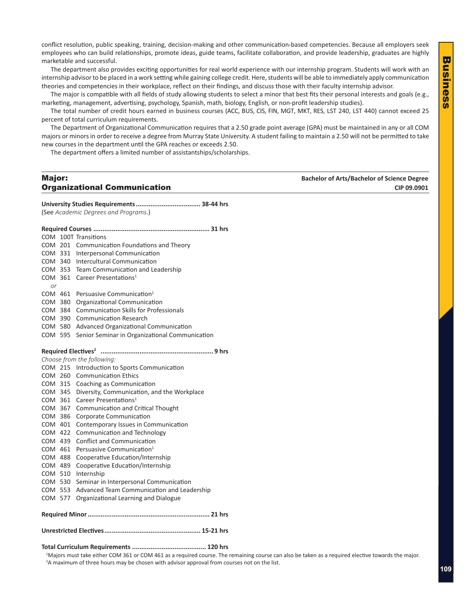<span id="page-38-0"></span>conflict resolution, public speaking, training, decision-making and other communication-based competencies. Because all employers seek employees who can build relationships, promote ideas, guide teams, facilitate collaboration, and provide leadership, graduates are highly marketable and successful.

The department also provides exciting opportunities for real world experience with our internship program. Students will work with an internship advisor to be placed in a work setting while gaining college credit. Here, students will be able to immediately apply communication theories and competencies in their workplace, reflect on their findings, and discuss those with their faculty internship advisor.

The major is compatible with all fields of study allowing students to select a minor that best fits their personal interests and goals (e.g., marketing, management, advertising, psychology, Spanish, math, biology, English, or non-profit leadership studies).

The total number of credit hours earned in business courses (ACC, BUS, CIS, FIN, MGT, MKT, RES, LST 240, LST 440) cannot exceed 25 percent of total curriculum requirements.

The Department of Organizational Communication requires that a 2.50 grade point average (GPA) must be maintained in any or all COM majors or minors in order to receive a degree from Murray State University. A student failing to maintain a 2.50 will not be permitted to take new courses in the department until the GPA reaches or exceeds 2.50.

The department offers a limited number of assistantships/scholarships.

# Major: **Bachelor of Arts/Bachelor of Science Degree**

**Organizational Communication CIP 09.0901** 

**University Studies Requirements................................... 38-44 hrs** (See *Academic Degrees and Programs*.)

|                            |  | COM 100T Transitions                           |  |  |
|----------------------------|--|------------------------------------------------|--|--|
| COM 201                    |  | Communication Foundations and Theory           |  |  |
| COM 331                    |  | Interpersonal Communication                    |  |  |
|                            |  | COM 340 Intercultural Communication            |  |  |
|                            |  | COM 353 Team Communication and Leadership      |  |  |
| COM 361                    |  | Career Presentations <sup>1</sup>              |  |  |
| or                         |  |                                                |  |  |
| COM 461                    |  | Persuasive Communication <sup>1</sup>          |  |  |
| COM 380                    |  | Organizational Communication                   |  |  |
| COM 384                    |  | <b>Communication Skills for Professionals</b>  |  |  |
| COM 390                    |  | <b>Communication Research</b>                  |  |  |
| COM 580                    |  | Advanced Organizational Communication          |  |  |
| COM 595                    |  | Senior Seminar in Organizational Communication |  |  |
|                            |  |                                                |  |  |
|                            |  |                                                |  |  |
| Choose from the following: |  |                                                |  |  |
| COM 215                    |  | Introduction to Sports Communication           |  |  |
| COM 260                    |  | <b>Communication Ethics</b>                    |  |  |
| COM 315                    |  | Coaching as Communication                      |  |  |
| COM 345                    |  | Diversity, Communication, and the Workplace    |  |  |
| COM 361                    |  | Career Presentations <sup>1</sup>              |  |  |
| COM 367                    |  | Communication and Critical Thought             |  |  |
| COM 386                    |  | Corporate Communication                        |  |  |
| COM 401                    |  | Contemporary Issues in Communication           |  |  |
| COM 422                    |  | <b>Communication and Technology</b>            |  |  |
| COM 439                    |  | <b>Conflict and Communication</b>              |  |  |
| COM 461                    |  | Persuasive Communication <sup>1</sup>          |  |  |
| COM 488                    |  | Cooperative Education/Internship               |  |  |
| COM 489                    |  | Cooperative Education/Internship               |  |  |
| COM 510                    |  | Internship                                     |  |  |
| COM 530                    |  | Seminar in Interpersonal Communication         |  |  |
| COM 553                    |  | Advanced Team Communication and Leadership     |  |  |
| COM 577                    |  | Organizational Learning and Dialogue           |  |  |
|                            |  |                                                |  |  |
|                            |  |                                                |  |  |
|                            |  |                                                |  |  |
| $\cdot$<br>۰               |  |                                                |  |  |

#### **Total Curriculum Requirements ........................................ 120 hrs**

1 Majors must take either COM 361 or COM 461 as a required course. The remaining course can also be taken as a required elective towards the major. 2 A maximum of three hours may be chosen with advisor approval from courses not on the list.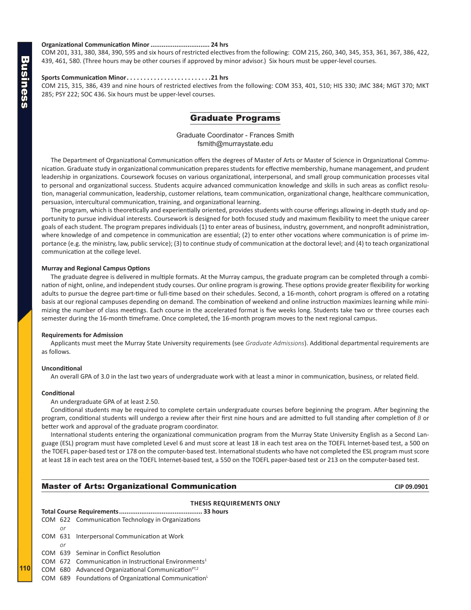#### <span id="page-39-0"></span>**Organizational Communication Minor................................ 24 hrs**

COM 201, 331, 380, 384, 390, 595 and six hours of restricted electives from the following: COM 215, 260, 340, 345, 353, 361, 367, 386, 422, 439, 461, 580. (Three hours may be other courses if approved by minor advisor.) Six hours must be upper-level courses.

#### **Sports Communication Minor. 21 hrs**

COM 215, 315, 386, 439 and nine hours of restricted electives from the following: COM 353, 401, 510; HIS 330; JMC 384; MGT 370; MKT 285; PSY 222; SOC 436. Six hours must be upper-level courses.

#### Graduate Programs

Graduate Coordinator - Frances Smith fsmith@murraystate.edu

The Department of Organizational Communication offers the degrees of Master of Arts or Master of Science in Organizational Communication. Graduate study in organizational communication prepares students for effective membership, humane management, and prudent leadership in organizations. Coursework focuses on various organizational, interpersonal, and small group communication processes vital to personal and organizational success. Students acquire advanced communication knowledge and skills in such areas as conflict resolution, managerial communication, leadership, customer relations, team communication, organizational change, healthcare communication, persuasion, intercultural communication, training, and organizational learning.

The program, which is theoretically and experientially oriented, provides students with course offerings allowing in-depth study and opportunity to pursue individual interests. Coursework is designed for both focused study and maximum flexibility to meet the unique career goals of each student. The program prepares individuals (1) to enter areas of business, industry, government, and nonprofit administration, where knowledge of and competence in communication are essential; (2) to enter other vocations where communication is of prime importance (e.g. the ministry, law, public service); (3) to continue study of communication at the doctoral level; and (4) to teach organizational communication at the college level.

#### **Murray and Regional Campus Options**

The graduate degree is delivered in multiple formats. At the Murray campus, the graduate program can be completed through a combination of night, online, and independent study courses. Our online program is growing. These options provide greater flexibility for working adults to pursue the degree part-time or full-time based on their schedules. Second, a 16-month, cohort program is offered on a rotating basis at our regional campuses depending on demand. The combination of weekend and online instruction maximizes learning while minimizing the number of class meetings. Each course in the accelerated format is five weeks long. Students take two or three courses each semester during the 16-month timeframe. Once completed, the 16-month program moves to the next regional campus.

#### **Requirements for Admission**

Applicants must meet the Murray State University requirements (see *Graduate Admissions*). Additional departmental requirements are as follows.

#### **Unconditional**

An overall GPA of 3.0 in the last two years of undergraduate work with at least a minor in communication, business, or related field.

#### **Conditional**

**110**

An undergraduate GPA of at least 2.50.

Conditional students may be required to complete certain undergraduate courses before beginning the program. After beginning the program, conditional students will undergo a review after their first nine hours and are admitted to full standing after completion of *B* or better work and approval of the graduate program coordinator.

International students entering the organizational communication program from the Murray State University English as a Second Language (ESL) program must have completed Level 6 and must score at least 18 in each test area on the TOEFL Internet-based test, a 500 on the TOEFL paper-based test or 178 on the computer-based test. International students who have not completed the ESL program must score at least 18 in each test area on the TOEFL Internet-based test, a 550 on the TOEFL paper-based test or 213 on the computer-based test.

#### **Master of Arts: Organizational Communication CIP 09.0901** CIP 09.0901

#### **THESIS REQUIREMENTS ONLY**

|    | COM 622 Communication Technology in Organizations                  |  |  |
|----|--------------------------------------------------------------------|--|--|
| Ωr |                                                                    |  |  |
|    | COM 631 Interpersonal Communication at Work                        |  |  |
| or |                                                                    |  |  |
|    | COM 639 Seminar in Conflict Resolution                             |  |  |
|    | $COM$ 672 Communication in Instructional Environments <sup>1</sup> |  |  |

COM  $680$  Advanced Organizational Communication<sup>PT,2</sup>

COM 689 Foundations of Organizational Communication<sup>L</sup>